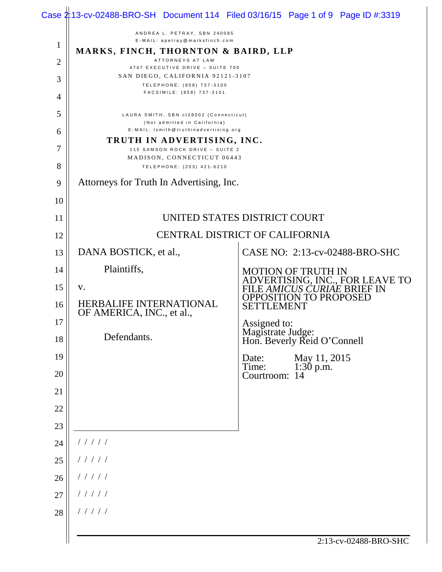|                |                                                                                                       | Case $2:13$ -cv-02488-BRO-SH Document 114 Filed 03/16/15 Page 1 of 9 Page ID #:3319      |  |
|----------------|-------------------------------------------------------------------------------------------------------|------------------------------------------------------------------------------------------|--|
| 1              | ANDREA L. PETRAY, SBN 240085<br>E-MAIL: apetray@marksfinch.com<br>MARKS, FINCH, THORNTON & BAIRD, LLP |                                                                                          |  |
| $\overline{2}$ | ATTORNEYS AT LAW<br>4747 EXECUTIVE DRIVE - SUITE 700                                                  |                                                                                          |  |
| 3              | SAN DIEGO, CALIFORNIA 92121-3107                                                                      |                                                                                          |  |
| 4              | TELEPHONE: (858) 737-3100<br>FACSIMILE: (858) 737-3101                                                |                                                                                          |  |
| 5              | LAURA SMITH, SBN ct28002 (Connecticut)<br>(Not admitted in California)                                |                                                                                          |  |
| 6              | E-MAIL: Ismith@truthinadvertising.org                                                                 |                                                                                          |  |
| 7              | TRUTH IN ADVERTISING, INC.<br>115 SAMSON ROCK DRIVE - SUITE 2                                         |                                                                                          |  |
| 8              | MADISON, CONNECTICUT 06443<br>TELEPHONE: (203) 421-6210                                               |                                                                                          |  |
| 9              | Attorneys for Truth In Advertising, Inc.                                                              |                                                                                          |  |
| 10             |                                                                                                       |                                                                                          |  |
| 11             | UNITED STATES DISTRICT COURT                                                                          |                                                                                          |  |
| 12             |                                                                                                       | <b>CENTRAL DISTRICT OF CALIFORNIA</b>                                                    |  |
| 13             | DANA BOSTICK, et al.,                                                                                 | CASE NO: 2:13-cv-02488-BRO-SHC                                                           |  |
| 14             | Plaintiffs,                                                                                           | <b>MOTION OF TRUTH IN</b>                                                                |  |
| 15             | V.                                                                                                    | ADVERTISING, INC., FOR LEAVE TO<br>FILE AMICUS CURIAE BRIEF IN<br>OPPOSITION TO PROPOSED |  |
| 16             | <b>HERBALIFE INTERNATIONAL</b><br>OF AMERICA, INC., et al.,                                           | SETTLEMENT                                                                               |  |
| 17             |                                                                                                       | Assigned to:<br>Magistrate Judge:<br>Hon. Beverly Reid O'Connell                         |  |
| 18             | Defendants.                                                                                           |                                                                                          |  |
| 19             |                                                                                                       | Date:<br>May 11, 2015<br>Time:<br>$1:30$ p.m.                                            |  |
| 20             |                                                                                                       | Courtroom: 14                                                                            |  |
| 21             |                                                                                                       |                                                                                          |  |
| 22<br>23       |                                                                                                       |                                                                                          |  |
| 24             | 11111                                                                                                 |                                                                                          |  |
| 25             | 11111                                                                                                 |                                                                                          |  |
| 26             | 11111                                                                                                 |                                                                                          |  |
| 27             | 11111                                                                                                 |                                                                                          |  |
| 28             | 11111                                                                                                 |                                                                                          |  |
|                |                                                                                                       | 2:13-cv-02488-BRO-SHC                                                                    |  |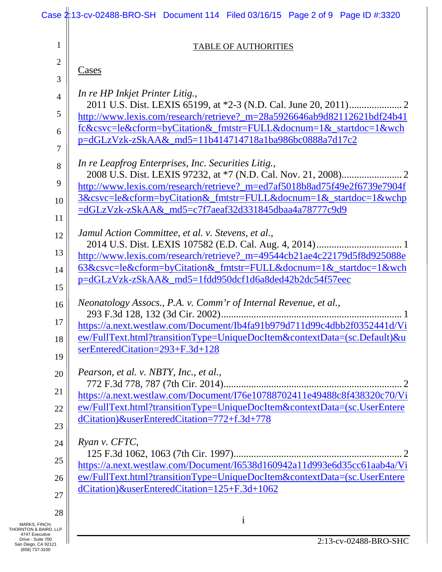|                                                            | Case 2:13-cv-02488-BRO-SH Document 114 Filed 03/16/15 Page 2 of 9 Page ID #:3320                                                               |
|------------------------------------------------------------|------------------------------------------------------------------------------------------------------------------------------------------------|
| 1                                                          | <b>TABLE OF AUTHORITIES</b>                                                                                                                    |
| 2                                                          |                                                                                                                                                |
| 3                                                          | <u>Cases</u>                                                                                                                                   |
| $\overline{4}$                                             | In re HP Inkjet Printer Litig.,                                                                                                                |
| 5                                                          | http://www.lexis.com/research/retrieve?_m=28a5926646ab9d82112621bdf24b41                                                                       |
| 6                                                          | fc&csvc=le&cform=byCitation&_fmtstr=FULL&docnum=1&_startdoc=1&wch                                                                              |
| 7                                                          | p=dGLzVzk-zSkAA&_md5=11b414714718a1ba986bc0888a7d17c2                                                                                          |
| 8                                                          | In re Leapfrog Enterprises, Inc. Securities Litig.,                                                                                            |
|                                                            |                                                                                                                                                |
| 9                                                          | http://www.lexis.com/research/retrieve?_m=ed7af5018b8ad75f49e2f6739e7904f<br>3&csvc=le&cform=byCitation&_fmtstr=FULL&docnum=1&_startdoc=1&wchp |
| 10                                                         | =dGLzVzk-zSkAA& md5=c7f7aeaf32d331845dbaa4a78777c9d9                                                                                           |
| 11                                                         |                                                                                                                                                |
| 12                                                         | Jamul Action Committee, et al. v. Stevens, et al.,                                                                                             |
| 13                                                         | http://www.lexis.com/research/retrieve?_m=49544cb21ae4c22179d5f8d925088e                                                                       |
| 14                                                         | 63&csvc=le&cform=byCitation&_fmtstr=FULL&docnum=1&_startdoc=1&wch                                                                              |
| 15                                                         | p=dGLzVzk-zSkAA&_md5=1fdd950dcf1d6a8ded42b2dc54f57eec                                                                                          |
| 16                                                         | Neonatology Assocs., P.A. v. Comm'r of Internal Revenue, et al.,                                                                               |
| 17                                                         | https://a.next.westlaw.com/Document/Ib4fa91b979d711d99c4dbb2f0352441d/Vi                                                                       |
| 18                                                         | <u>ew/FullText.html?transitionType=UniqueDocItem&amp;contextData=(sc.Default)&amp;u</u>                                                        |
| 19                                                         | serEnteredCitation=293+F.3d+128                                                                                                                |
|                                                            | Pearson, et al. v. NBTY, Inc., et al.,                                                                                                         |
| 20                                                         |                                                                                                                                                |
| 21                                                         | https://a.next.westlaw.com/Document/I76e10788702411e49488c8f438320c70/Vi                                                                       |
| 22                                                         | ew/FullText.html?transitionType=UniqueDocItem&contextData=(sc.UserEntere<br>dCitation)&userEnteredCitation=772+f.3d+778                        |
| 23                                                         |                                                                                                                                                |
| 24                                                         | Ryan v. CFTC,                                                                                                                                  |
| 25                                                         | https://a.next.westlaw.com/Document/I6538d160942a11d993e6d35cc61aab4a/Vi                                                                       |
| 26                                                         | ew/FullText.html?transitionType=UniqueDocItem&contextData=(sc.UserEntere                                                                       |
| 27                                                         | dCitation)&userEnteredCitation=125+F.3d+1062                                                                                                   |
| 28                                                         |                                                                                                                                                |
| MARKS, FINCH,<br>THORNTON & BAIRD, LLP<br>4747 Executive   | 1                                                                                                                                              |
| Drive - Suite 700<br>San Diego, CA 92121<br>(858) 737-3100 | 2:13-cv-02488-BRO-SHC                                                                                                                          |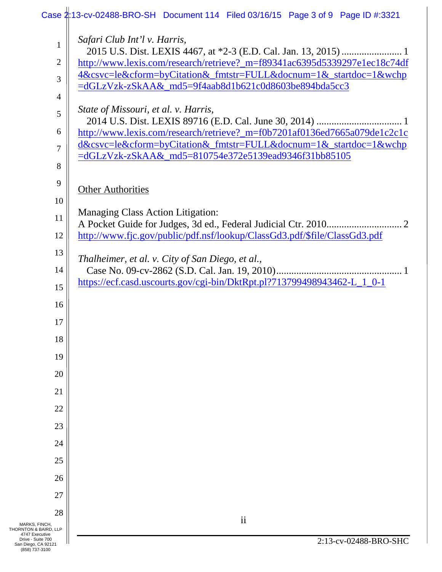|                                                            | Case 2:13-cv-02488-BRO-SH Document 114 Filed 03/16/15 Page 3 of 9 Page ID #:3321 |
|------------------------------------------------------------|----------------------------------------------------------------------------------|
| $\mathbf{1}$                                               | Safari Club Int'l v. Harris,                                                     |
| $\overline{2}$                                             | http://www.lexis.com/research/retrieve?_m=f89341ac6395d5339297e1ec18c74df        |
| 3                                                          | 4&csvc=le&cform=byCitation&_fmtstr=FULL&docnum=1&_startdoc=1&wchp                |
| 4                                                          | =dGLzVzk-zSkAA&_md5=9f4aab8d1b621c0d8603be894bda5cc3                             |
| 5                                                          | State of Missouri, et al. v. Harris,                                             |
| 6                                                          | http://www.lexis.com/research/retrieve?_m=f0b7201af0136ed7665a079de1c2c1c        |
|                                                            | d&csvc=le&cform=byCitation&_fmtstr=FULL&docnum=1&_startdoc=1&wchp                |
| 7                                                          | =dGLzVzk-zSkAA&_md5=810754e372e5139ead9346f31bb85105                             |
| 8                                                          |                                                                                  |
| 9                                                          | <b>Other Authorities</b>                                                         |
| 10                                                         |                                                                                  |
| 11                                                         | <b>Managing Class Action Litigation:</b>                                         |
| 12                                                         | http://www.fjc.gov/public/pdf.nsf/lookup/ClassGd3.pdf/\$file/ClassGd3.pdf        |
| 13                                                         |                                                                                  |
| 14                                                         | Thalheimer, et al. v. City of San Diego, et al.,                                 |
| 15                                                         | https://ecf.casd.uscourts.gov/cgi-bin/DktRpt.pl?713799498943462-L_1_0-1          |
| 16                                                         |                                                                                  |
| 17                                                         |                                                                                  |
| 18                                                         |                                                                                  |
| 19                                                         |                                                                                  |
| 20                                                         |                                                                                  |
| 21                                                         |                                                                                  |
| 22                                                         |                                                                                  |
| 23                                                         |                                                                                  |
| 24                                                         |                                                                                  |
| 25                                                         |                                                                                  |
| 26                                                         |                                                                                  |
| 27                                                         |                                                                                  |
| 28                                                         |                                                                                  |
| MARKS, FINCH,<br>THORNTON & BAIRD, LLP<br>4747 Executive   | $\overline{\textbf{ii}}$                                                         |
| Drive - Suite 700<br>San Diego, CA 92121<br>(858) 737-3100 | 2:13-cv-02488-BRO-SHC                                                            |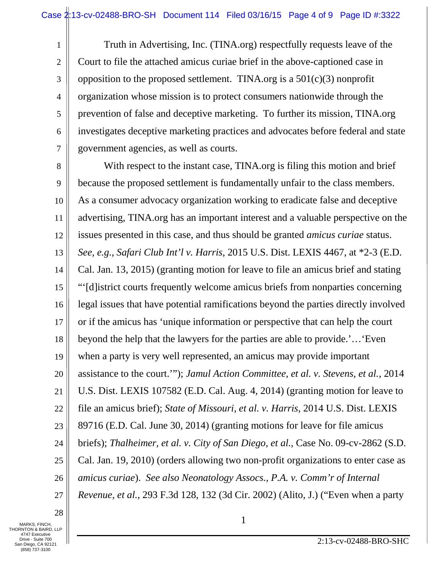Truth in Advertising, Inc. (TINA.org) respectfully requests leave of the Court to file the attached amicus curiae brief in the above-captioned case in opposition to the proposed settlement. TINA.org is a  $501(c)(3)$  nonprofit organization whose mission is to protect consumers nationwide through the prevention of false and deceptive marketing. To further its mission, TINA.org investigates deceptive marketing practices and advocates before federal and state government agencies, as well as courts.

8 9 10 11 12 13 14 15 16 17 18 19 20 21 22 23 24 25 26 27 With respect to the instant case, TINA.org is filing this motion and brief because the proposed settlement is fundamentally unfair to the class members. As a consumer advocacy organization working to eradicate false and deceptive advertising, TINA.org has an important interest and a valuable perspective on the issues presented in this case, and thus should be granted *amicus curiae* status. *See, e.g.*, *Safari Club Int'l v. Harris*, 2015 U.S. Dist. LEXIS 4467, at \*2-3 (E.D. Cal. Jan. 13, 2015) (granting motion for leave to file an amicus brief and stating "'[d]istrict courts frequently welcome amicus briefs from nonparties concerning legal issues that have potential ramifications beyond the parties directly involved or if the amicus has 'unique information or perspective that can help the court beyond the help that the lawyers for the parties are able to provide.'…'Even when a party is very well represented, an amicus may provide important assistance to the court.'"); *Jamul Action Committee, et al. v. Stevens, et al.*, 2014 U.S. Dist. LEXIS 107582 (E.D. Cal. Aug. 4, 2014) (granting motion for leave to file an amicus brief); *State of Missouri, et al. v. Harris*, 2014 U.S. Dist. LEXIS 89716 (E.D. Cal. June 30, 2014) (granting motions for leave for file amicus briefs); *Thalheimer, et al. v. City of San Diego, et al.*, Case No. 09-cv-2862 (S.D. Cal. Jan. 19, 2010) (orders allowing two non-profit organizations to enter case as *amicus curiae*). *See also Neonatology Assocs., P.A. v. Comm'r of Internal Revenue, et al.*, 293 F.3d 128, 132 (3d Cir. 2002) (Alito, J.) ("Even when a party

28

1

2

3

4

5

6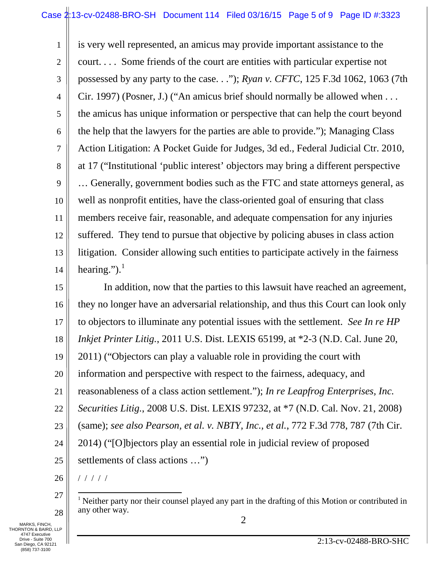1 2 3 4 5 6 7 8 9 10 11 12 13 14 is very well represented, an amicus may provide important assistance to the court. . . . Some friends of the court are entities with particular expertise not possessed by any party to the case. . ."); *Ryan v. CFTC*, 125 F.3d 1062, 1063 (7th Cir. 1997) (Posner, J.) ("An amicus brief should normally be allowed when . . . the amicus has unique information or perspective that can help the court beyond the help that the lawyers for the parties are able to provide."); Managing Class Action Litigation: A Pocket Guide for Judges, 3d ed., Federal Judicial Ctr. 2010, at 17 ("Institutional 'public interest' objectors may bring a different perspective … Generally, government bodies such as the FTC and state attorneys general, as well as nonprofit entities, have the class-oriented goal of ensuring that class members receive fair, reasonable, and adequate compensation for any injuries suffered. They tend to pursue that objective by policing abuses in class action litigation. Consider allowing such entities to participate actively in the fairness hearing."). $<sup>1</sup>$  $<sup>1</sup>$  $<sup>1</sup>$ </sup>

15 16 17 18 19 20 21 22 23 24 25 In addition, now that the parties to this lawsuit have reached an agreement, they no longer have an adversarial relationship, and thus this Court can look only to objectors to illuminate any potential issues with the settlement. *See In re HP Inkjet Printer Litig.*, 2011 U.S. Dist. LEXIS 65199, at \*2-3 (N.D. Cal. June 20, 2011) ("Objectors can play a valuable role in providing the court with information and perspective with respect to the fairness, adequacy, and reasonableness of a class action settlement."); *In re Leapfrog Enterprises, Inc. Securities Litig.*, 2008 U.S. Dist. LEXIS 97232, at \*7 (N.D. Cal. Nov. 21, 2008) (same); *see also Pearson, et al. v. NBTY, Inc., et al.*, 772 F.3d 778, 787 (7th Cir. 2014) ("[O]bjectors play an essential role in judicial review of proposed settlements of class actions …")

26 / / / / /

<span id="page-4-0"></span>MARKS, FINCH, 2 THORNTON & BAIRD, LLP 4747 Executive Drive - Suite 700 San Diego, CA 92121 (858) 737-3100

<sup>27</sup> 28 <sup>1</sup> Neither party nor their counsel played any part in the drafting of this Motion or contributed in any other way.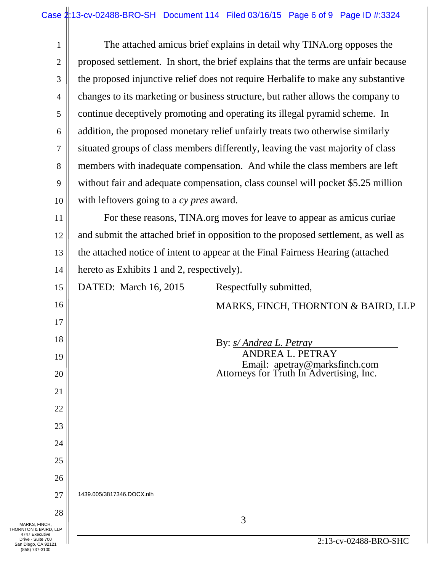| $\mathbf{1}$                                                                 | The attached amicus brief explains in detail why TINA.org opposes the               |  |  |
|------------------------------------------------------------------------------|-------------------------------------------------------------------------------------|--|--|
| $\overline{2}$                                                               | proposed settlement. In short, the brief explains that the terms are unfair because |  |  |
| 3                                                                            | the proposed injunctive relief does not require Herbalife to make any substantive   |  |  |
| $\overline{4}$                                                               | changes to its marketing or business structure, but rather allows the company to    |  |  |
| 5                                                                            |                                                                                     |  |  |
|                                                                              | continue deceptively promoting and operating its illegal pyramid scheme. In         |  |  |
| 6                                                                            | addition, the proposed monetary relief unfairly treats two otherwise similarly      |  |  |
| 7                                                                            | situated groups of class members differently, leaving the vast majority of class    |  |  |
| 8                                                                            | members with inadequate compensation. And while the class members are left          |  |  |
| 9                                                                            | without fair and adequate compensation, class counsel will pocket \$5.25 million    |  |  |
| 10                                                                           | with leftovers going to a cy pres award.                                            |  |  |
| 11                                                                           | For these reasons, TINA.org moves for leave to appear as amicus curiae              |  |  |
| 12                                                                           | and submit the attached brief in opposition to the proposed settlement, as well as  |  |  |
| 13                                                                           | the attached notice of intent to appear at the Final Fairness Hearing (attached     |  |  |
| 14                                                                           | hereto as Exhibits 1 and 2, respectively).                                          |  |  |
| 15                                                                           | DATED: March 16, 2015<br>Respectfully submitted,                                    |  |  |
| 16                                                                           | MARKS, FINCH, THORNTON & BAIRD, LLP                                                 |  |  |
| 17                                                                           |                                                                                     |  |  |
| 18                                                                           | By: <i>s/Andrea L. Petray</i>                                                       |  |  |
| 19                                                                           | ANDREA L. PETRAY                                                                    |  |  |
| 20                                                                           | Email: apetray@marksfinch.com<br>Attorneys for Truth In Advertising, Inc.           |  |  |
| 21                                                                           |                                                                                     |  |  |
| 22                                                                           |                                                                                     |  |  |
| 23                                                                           |                                                                                     |  |  |
| 24                                                                           |                                                                                     |  |  |
| 25                                                                           |                                                                                     |  |  |
| 26                                                                           |                                                                                     |  |  |
| 27                                                                           | 1439.005/3817346.DOCX.nlh                                                           |  |  |
| 28                                                                           |                                                                                     |  |  |
| MARKS, FINCH,<br>THORNTON & BAIRD, LLP                                       | 3                                                                                   |  |  |
| 4747 Executive<br>Drive - Suite 700<br>San Diego, CA 92121<br>(858) 737-3100 | 2:13-cv-02488-BRO-SHC                                                               |  |  |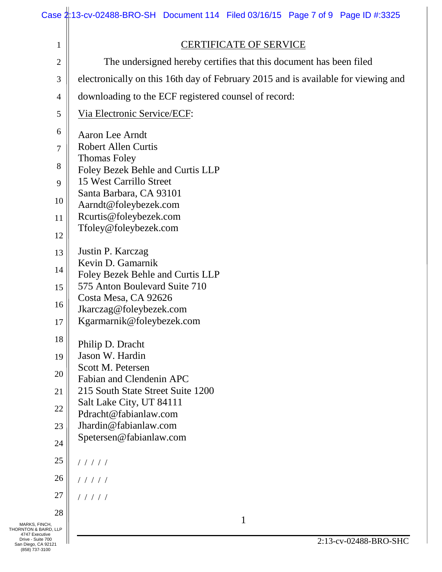|                                                                                      | Case 2:13-cv-02488-BRO-SH Document 114 Filed 03/16/15 Page 7 of 9 Page ID #:3325  |  |  |
|--------------------------------------------------------------------------------------|-----------------------------------------------------------------------------------|--|--|
| $\mathbf{1}$                                                                         | <b>CERTIFICATE OF SERVICE</b>                                                     |  |  |
| The undersigned hereby certifies that this document has been filed<br>$\overline{2}$ |                                                                                   |  |  |
| 3                                                                                    | electronically on this 16th day of February 2015 and is available for viewing and |  |  |
| 4                                                                                    | downloading to the ECF registered counsel of record:                              |  |  |
| 5                                                                                    | Via Electronic Service/ECF:                                                       |  |  |
| 6                                                                                    | Aaron Lee Arndt                                                                   |  |  |
| 7                                                                                    | <b>Robert Allen Curtis</b>                                                        |  |  |
| 8                                                                                    | <b>Thomas Foley</b>                                                               |  |  |
| 9                                                                                    | Foley Bezek Behle and Curtis LLP<br>15 West Carrillo Street                       |  |  |
| 10                                                                                   | Santa Barbara, CA 93101                                                           |  |  |
| 11                                                                                   | Aarndt@foleybezek.com<br>Rcurtis@foleybezek.com                                   |  |  |
|                                                                                      | Tfoley@foleybezek.com                                                             |  |  |
| 12                                                                                   |                                                                                   |  |  |
| 13                                                                                   | Justin P. Karczag<br>Kevin D. Gamarnik                                            |  |  |
| 14                                                                                   | Foley Bezek Behle and Curtis LLP                                                  |  |  |
| 15                                                                                   | 575 Anton Boulevard Suite 710<br>Costa Mesa, CA 92626                             |  |  |
| 16                                                                                   | Jkarczag@foleybezek.com                                                           |  |  |
| 17                                                                                   | Kgarmarnik@foleybezek.com                                                         |  |  |
| 18                                                                                   | Philip D. Dracht                                                                  |  |  |
| 19                                                                                   | Jason W. Hardin                                                                   |  |  |
| 20                                                                                   | Scott M. Petersen<br>Fabian and Clendenin APC                                     |  |  |
| 21                                                                                   | 215 South State Street Suite 1200                                                 |  |  |
| 22                                                                                   | Salt Lake City, UT 84111                                                          |  |  |
| 23                                                                                   | Pdracht@fabianlaw.com<br>Jhardin@fabianlaw.com                                    |  |  |
| 24                                                                                   | Spetersen@fabianlaw.com                                                           |  |  |
| 25                                                                                   | 11111                                                                             |  |  |
| 26                                                                                   | 11111                                                                             |  |  |
| 27                                                                                   | 11111                                                                             |  |  |
| 28                                                                                   |                                                                                   |  |  |
| MARKS, FINCH,<br>THORNTON & BAIRD, LLP<br>4747 Executive                             | 1                                                                                 |  |  |
| Drive - Suite 700<br>San Diego, CA 92121<br>(858) 737-3100                           | 2:13-cv-02488-BRO-SHC                                                             |  |  |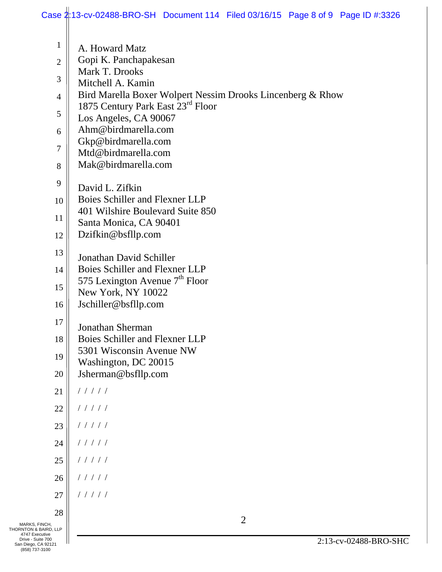|                                                                               | Case 2:13-cv-02488-BRO-SH Document 114 Filed 03/16/15 Page 8 of 9 Page ID #:3326 |
|-------------------------------------------------------------------------------|----------------------------------------------------------------------------------|
| $\mathbf{1}$                                                                  | A. Howard Matz                                                                   |
| $\overline{2}$                                                                | Gopi K. Panchapakesan                                                            |
| 3                                                                             | Mark T. Drooks<br>Mitchell A. Kamin                                              |
| $\overline{4}$                                                                | Bird Marella Boxer Wolpert Nessim Drooks Lincenberg & Rhow                       |
| 5                                                                             | 1875 Century Park East 23rd Floor                                                |
| 6                                                                             | Los Angeles, CA 90067<br>Ahm@birdmarella.com                                     |
|                                                                               | Gkp@birdmarella.com                                                              |
| 7                                                                             | Mtd@birdmarella.com                                                              |
| 8                                                                             | Mak@birdmarella.com                                                              |
| 9                                                                             | David L. Zifkin                                                                  |
| 10                                                                            | Boies Schiller and Flexner LLP<br>401 Wilshire Boulevard Suite 850               |
| 11                                                                            | Santa Monica, CA 90401                                                           |
| 12                                                                            | Dzifkin@bsfllp.com                                                               |
| 13                                                                            | Jonathan David Schiller                                                          |
| 14                                                                            | Boies Schiller and Flexner LLP                                                   |
| 15                                                                            | 575 Lexington Avenue $7th$ Floor<br>New York, NY 10022                           |
| 16                                                                            | Jschiller@bsfllp.com                                                             |
| 17                                                                            |                                                                                  |
| 18                                                                            | Jonathan Sherman<br>Boies Schiller and Flexner LLP                               |
| 19                                                                            | 5301 Wisconsin Avenue NW                                                         |
| 20                                                                            | Washington, DC 20015<br>Jsherman@bsfllp.com                                      |
| 21                                                                            | 11111                                                                            |
| 22                                                                            | 11111                                                                            |
| 23                                                                            | 11111                                                                            |
|                                                                               |                                                                                  |
| 24                                                                            | 11111                                                                            |
| 25                                                                            | 11111                                                                            |
| 26                                                                            | 11111                                                                            |
| 27                                                                            | 11111                                                                            |
| 28                                                                            | $\overline{2}$                                                                   |
| MARKS, FINCH,<br>THORNTON & BAIRD, LLP<br>4747 Executive<br>Drive - Suite 700 |                                                                                  |
| San Diego, CA 92121<br>(858) 737-3100                                         | 2:13-cv-02488-BRO-SHC                                                            |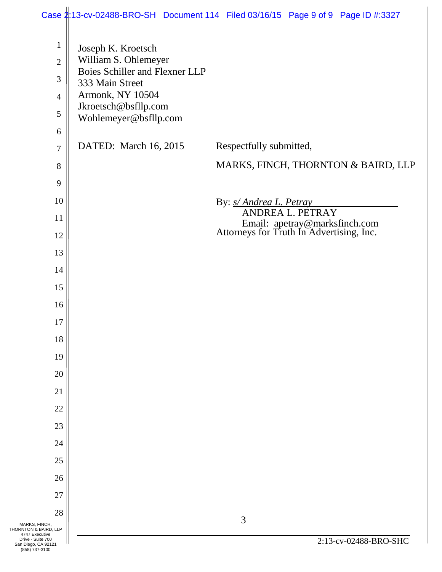|                                                            |                                       | Case 2:13-cv-02488-BRO-SH Document 114 Filed 03/16/15 Page 9 of 9 Page ID #:3327 |
|------------------------------------------------------------|---------------------------------------|----------------------------------------------------------------------------------|
| $\mathbf{1}$                                               | Joseph K. Kroetsch                    |                                                                                  |
| $\mathbf{2}$                                               | William S. Ohlemeyer                  |                                                                                  |
| 3                                                          | <b>Boies Schiller and Flexner LLP</b> |                                                                                  |
| $\overline{4}$                                             | 333 Main Street<br>Armonk, NY 10504   |                                                                                  |
|                                                            | Jkroetsch@bsfllp.com                  |                                                                                  |
| 5                                                          | Wohlemeyer@bsfllp.com                 |                                                                                  |
| 6                                                          |                                       |                                                                                  |
| $\tau$                                                     | DATED: March 16, 2015                 | Respectfully submitted,                                                          |
| 8                                                          |                                       | MARKS, FINCH, THORNTON & BAIRD, LLP                                              |
| 9                                                          |                                       |                                                                                  |
| 10                                                         |                                       | By: <i>s/ Andrea L. Petray</i>                                                   |
| 11                                                         |                                       | ANDREA L. PETRAY                                                                 |
| 12                                                         |                                       | Email: apetray@marksfinch.com<br>Attorneys for Truth In Advertising, Inc.        |
| 13                                                         |                                       |                                                                                  |
| 14                                                         |                                       |                                                                                  |
| 15                                                         |                                       |                                                                                  |
| 16                                                         |                                       |                                                                                  |
| 17                                                         |                                       |                                                                                  |
| 18                                                         |                                       |                                                                                  |
| 19                                                         |                                       |                                                                                  |
|                                                            |                                       |                                                                                  |
| 20                                                         |                                       |                                                                                  |
| 21                                                         |                                       |                                                                                  |
| 22                                                         |                                       |                                                                                  |
| 23                                                         |                                       |                                                                                  |
| 24                                                         |                                       |                                                                                  |
| 25                                                         |                                       |                                                                                  |
| 26                                                         |                                       |                                                                                  |
| 27                                                         |                                       |                                                                                  |
| 28                                                         |                                       | 3                                                                                |
| MARKS, FINCH,<br>THORNTON & BAIRD, LLP<br>4747 Executive   |                                       |                                                                                  |
| Drive - Suite 700<br>San Diego, CA 92121<br>(858) 737-3100 |                                       | 2:13-cv-02488-BRO-SHC                                                            |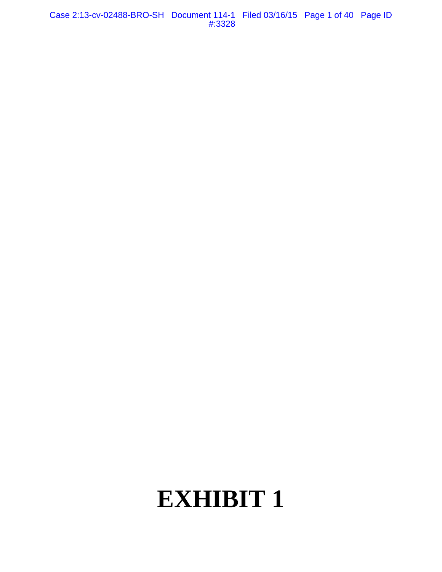Case 2:13-cv-02488-BRO-SH Document 114-1 Filed 03/16/15 Page 1 of 40 Page ID #:3328

# **EXHIBIT 1**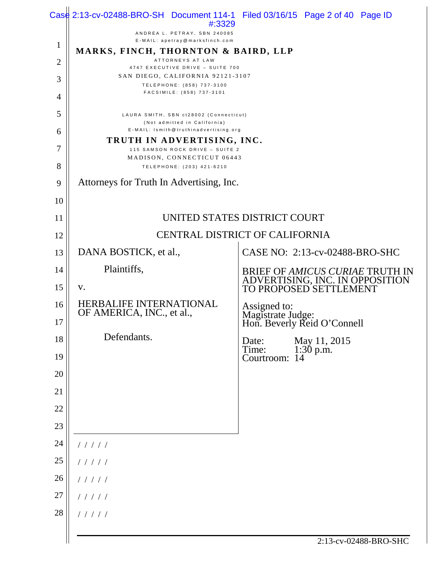|                | $\text{Cas}_{\mathbb{R}}^{\mathbb{H}}$ 2:13-cv-02488-BRO-SH Document 114-1 Filed 03/16/15 Page 2 of 40 Page ID<br>#:3329 |                                                                                        |  |
|----------------|--------------------------------------------------------------------------------------------------------------------------|----------------------------------------------------------------------------------------|--|
|                | ANDREA L. PETRAY, SBN 240085<br>E-MAIL: apetray@marksfinch.com                                                           |                                                                                        |  |
| $\mathbf{1}$   | MARKS, FINCH, THORNTON & BAIRD, LLP                                                                                      |                                                                                        |  |
| $\overline{2}$ | ATTORNEYS AT LAW<br>4747 EXECUTIVE DRIVE - SUITE 700                                                                     |                                                                                        |  |
| 3              | SAN DIEGO, CALIFORNIA 92121-3107<br>TELEPHONE: (858) 737-3100<br>FACSIMILE: (858) 737-3101                               |                                                                                        |  |
| $\overline{4}$ |                                                                                                                          |                                                                                        |  |
| 5              | LAURA SMITH, SBN ct28002 (Connecticut)<br>(Not admitted in California)                                                   |                                                                                        |  |
| 6              | E-MAIL: Ismith@truthinadvertising.org<br>TRUTH IN ADVERTISING, INC.                                                      |                                                                                        |  |
| 7              | 115 SAMSON ROCK DRIVE - SUITE 2<br>MADISON, CONNECTICUT 06443                                                            |                                                                                        |  |
| 8              | TELEPHONE: (203) 421-6210                                                                                                |                                                                                        |  |
| 9              | Attorneys for Truth In Advertising, Inc.                                                                                 |                                                                                        |  |
| 10             |                                                                                                                          |                                                                                        |  |
| 11             | UNITED STATES DISTRICT COURT                                                                                             |                                                                                        |  |
| 12             | CENTRAL DISTRICT OF CALIFORNIA                                                                                           |                                                                                        |  |
| 13             | DANA BOSTICK, et al.,                                                                                                    | CASE NO: 2:13-cv-02488-BRO-SHC                                                         |  |
| 14             | Plaintiffs,                                                                                                              | BRIEF OF AMICUS CURIAE TRUTH IN ADVERTISING, INC. IN OPPOSITION TO PROPOSED SETTLEMENT |  |
| 15             | V.                                                                                                                       |                                                                                        |  |
| 16             | HERBALIFE INTERNATIONAL<br>OF AMERICA, INC., et al.,                                                                     | Assigned to:<br>Magistrate Judge:<br>Hon. Beverly Reid O'Connell                       |  |
| 17             |                                                                                                                          |                                                                                        |  |
| 18             | Defendants.                                                                                                              | May 11, 2015<br>1:30 p.m.<br>Date:<br>Time:                                            |  |
| 19             |                                                                                                                          | Courtroom: 14                                                                          |  |
| 20             |                                                                                                                          |                                                                                        |  |
| 21             |                                                                                                                          |                                                                                        |  |
| 22             |                                                                                                                          |                                                                                        |  |
| 23             |                                                                                                                          |                                                                                        |  |
| 24             | 11111                                                                                                                    |                                                                                        |  |
| 25             | 11111                                                                                                                    |                                                                                        |  |
| 26             | 11111                                                                                                                    |                                                                                        |  |
| 27             | 11111                                                                                                                    |                                                                                        |  |
| 28             | 11111                                                                                                                    |                                                                                        |  |
|                |                                                                                                                          | 2:13-cv-02488-BRO-SHC                                                                  |  |
|                |                                                                                                                          |                                                                                        |  |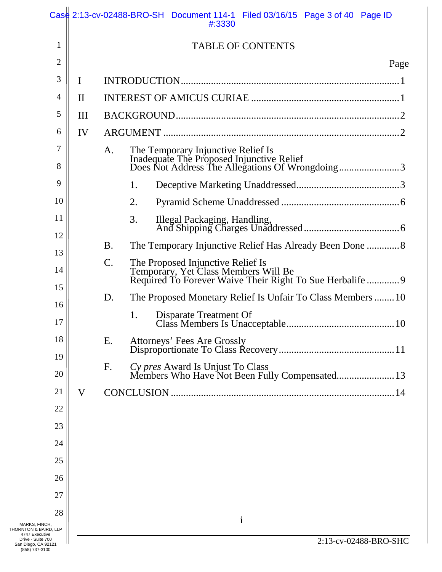|                                                                               |              | $\text{Cas}\^{\text{d}}_1$ 2:13-cv-02488-BRO-SH Document 114-1 Filed 03/16/15 Page 3 of 40 Page ID<br>#:3330                          |
|-------------------------------------------------------------------------------|--------------|---------------------------------------------------------------------------------------------------------------------------------------|
| 1                                                                             |              | <b>TABLE OF CONTENTS</b>                                                                                                              |
| $\overline{2}$                                                                |              | Page                                                                                                                                  |
| 3                                                                             | I            |                                                                                                                                       |
| 4                                                                             | $\mathbf{I}$ |                                                                                                                                       |
| 5                                                                             | III          |                                                                                                                                       |
| 6                                                                             | IV           |                                                                                                                                       |
| 7                                                                             |              | A.                                                                                                                                    |
| 8                                                                             |              |                                                                                                                                       |
| 9                                                                             |              | 1.                                                                                                                                    |
| 10                                                                            |              | 2.                                                                                                                                    |
| 11                                                                            |              | 3.                                                                                                                                    |
| 12                                                                            |              | <b>B.</b>                                                                                                                             |
| 13                                                                            |              | $\mathsf{C}.$                                                                                                                         |
| 14                                                                            |              | The Proposed Injunctive Relief Is<br>Temporary, Yet Class Members Will Be<br>Required To Forever Waive Their Right To Sue Herbalife 9 |
| 15                                                                            |              | The Proposed Monetary Relief Is Unfair To Class Members 10<br>D.                                                                      |
| 16<br>17                                                                      |              | 1.                                                                                                                                    |
| 18                                                                            |              | Ε.<br>Attorneys' Fees Are Grossly                                                                                                     |
| 19                                                                            |              |                                                                                                                                       |
| 20                                                                            |              | Cy pres Award Is Unjust To Class<br>Members Who Have Not Been Fully Compensated 13<br>F.                                              |
| 21                                                                            | V            | <b>CONCLUSION</b>                                                                                                                     |
| 22                                                                            |              |                                                                                                                                       |
| 23                                                                            |              |                                                                                                                                       |
| 24                                                                            |              |                                                                                                                                       |
| 25                                                                            |              |                                                                                                                                       |
| 26                                                                            |              |                                                                                                                                       |
| 27                                                                            |              |                                                                                                                                       |
| 28                                                                            |              | $\mathbf{i}$                                                                                                                          |
| MARKS, FINCH,<br>THORNTON & BAIRD, LLP<br>4747 Executive<br>Drive - Suite 700 |              | 2:13-cv-02488-BRO-SHC                                                                                                                 |
| San Diego, CA 92121<br>(858) 737-3100                                         |              |                                                                                                                                       |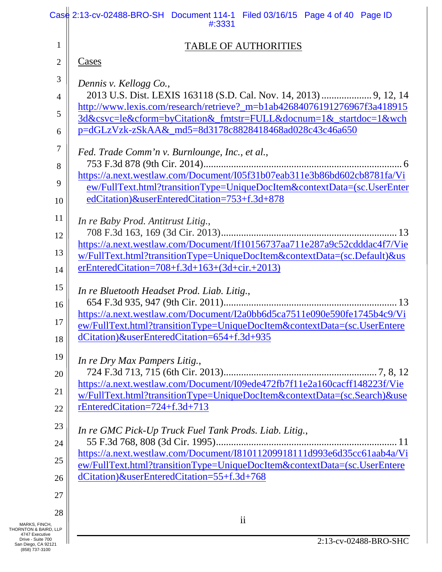|                                                                               | Case 2:13-cv-02488-BRO-SH Document 114-1 Filed 03/16/15 Page 4 of 40 Page ID<br>#:3331                                                                |
|-------------------------------------------------------------------------------|-------------------------------------------------------------------------------------------------------------------------------------------------------|
| 1                                                                             | <b>TABLE OF AUTHORITIES</b>                                                                                                                           |
| 2                                                                             | Cases                                                                                                                                                 |
| 3                                                                             | Dennis v. Kellogg Co.,                                                                                                                                |
| $\overline{4}$                                                                |                                                                                                                                                       |
| 5                                                                             | http://www.lexis.com/research/retrieve?_m=b1ab42684076191276967f3a418915<br>3d&csvc=le&cform=byCitation&_fmtstr=FULL&docnum=1&_startdoc=1&wch         |
| 6                                                                             | p=dGLzVzk-zSkAA&_md5=8d3178c8828418468ad028c43c46a650                                                                                                 |
| 7                                                                             | Fed. Trade Comm'n v. Burnlounge, Inc., et al.,                                                                                                        |
| 8                                                                             | https://a.next.westlaw.com/Document/I05f31b07eab311e3b86bd602cb8781fa/Vi                                                                              |
| 9                                                                             | ew/FullText.html?transitionType=UniqueDocItem&contextData=(sc.UserEnter                                                                               |
| 10                                                                            | edCitation)&userEnteredCitation=753+f.3d+878                                                                                                          |
| 11                                                                            | In re Baby Prod. Antitrust Litig.,                                                                                                                    |
| 12                                                                            | https://a.next.westlaw.com/Document/If10156737aa711e287a9c52cdddac4f7/Vie                                                                             |
| 13                                                                            | w/FullText.html?transitionType=UniqueDocItem&contextData=(sc.Default)&us<br>$erEnteredCitation = 708 + f.3d + 163 + (3d + cir. + 2013)$               |
| 14                                                                            |                                                                                                                                                       |
| 15<br>16                                                                      | In re Bluetooth Headset Prod. Liab. Litig.,                                                                                                           |
| 17                                                                            | https://a.next.westlaw.com/Document/I2a0bb6d5ca7511e090e590fe1745b4c9/Vi                                                                              |
| 18                                                                            | ew/FullText.html?transitionType=UniqueDocItem&contextData=(sc.UserEntere<br>dCitation)&userEnteredCitation=654+f.3d+935                               |
| 19                                                                            |                                                                                                                                                       |
| 20                                                                            | In re Dry Max Pampers Litig.,                                                                                                                         |
| 21                                                                            | https://a.next.westlaw.com/Document/I09ede472fb7f11e2a160cacff148223f/Vie<br>w/FullText.html?transitionType=UniqueDocItem&contextData=(sc.Search)&use |
| 22                                                                            | rEnteredCitation=724+f.3d+713                                                                                                                         |
| 23                                                                            | In re GMC Pick-Up Truck Fuel Tank Prods. Liab. Litig.,                                                                                                |
| 24                                                                            |                                                                                                                                                       |
| 25                                                                            | https://a.next.westlaw.com/Document/I81011209918111d993e6d35cc61aab4a/Vi<br>ew/FullText.html?transitionType=UniqueDocItem&contextData=(sc.UserEntere  |
| 26                                                                            | dCitation)&userEnteredCitation=55+f.3d+768                                                                                                            |
| 27                                                                            |                                                                                                                                                       |
| 28                                                                            | $\overline{\textbf{ii}}$                                                                                                                              |
| MARKS, FINCH,<br>THORNTON & BAIRD, LLP<br>4747 Executive<br>Drive - Suite 700 | 2:13-cv-02488-BRO-SHC                                                                                                                                 |
| San Diego, CA 92121<br>(858) 737-3100                                         |                                                                                                                                                       |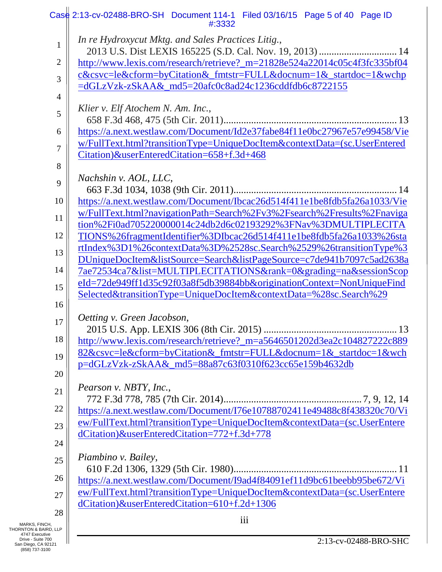|                                                              | $\text{Cas}\^d$ 2:13-cv-02488-BRO-SH Document 114-1 Filed 03/16/15 Page 5 of 40 Page ID<br>#:3332                                       |
|--------------------------------------------------------------|-----------------------------------------------------------------------------------------------------------------------------------------|
| $\mathbf{1}$                                                 | In re Hydroxycut Mktg. and Sales Practices Litig.,                                                                                      |
| 2                                                            | http://www.lexis.com/research/retrieve?_m=21828e524a22014c05c4f3fc335bf04                                                               |
| 3                                                            | c&csvc=le&cform=byCitation&_fmtstr=FULL&docnum=1&_startdoc=1&wchp                                                                       |
| $\overline{4}$                                               | =dGLzVzk-zSkAA& md5=20afc0c8ad24c1236cddfdb6c8722155                                                                                    |
| 5                                                            | Klier v. Elf Atochem N. Am. Inc.,                                                                                                       |
| 6                                                            | https://a.next.westlaw.com/Document/Id2e37fabe84f11e0bc27967e57e99458/Vie                                                               |
|                                                              | w/FullText.html?transitionType=UniqueDocItem&contextData=(sc.UserEntered                                                                |
| 7                                                            | Citation)&userEnteredCitation=658+f.3d+468                                                                                              |
| 8                                                            |                                                                                                                                         |
| 9                                                            | Nachshin v. AOL, LLC,                                                                                                                   |
|                                                              |                                                                                                                                         |
| 10                                                           | https://a.next.westlaw.com/Document/Ibcac26d514f411e1be8fdb5fa26a1033/Vie                                                               |
| 11                                                           | w/FullText.html?navigationPath=Search%2Fv3%2Fsearch%2Fresults%2Fnaviga<br>tion%2Fi0ad705220000014c24db2d6c02193292%3FNav%3DMULTIPLECITA |
| 12                                                           | TIONS%26fragmentIdentifier%3DIbcac26d514f411e1be8fdb5fa26a1033%26sta                                                                    |
| 13                                                           | rtIndex%3D1%26contextData%3D%2528sc.Search%2529%26transitionType%3                                                                      |
|                                                              | DUniqueDocItem&listSource=Search&listPageSource=c7de941b7097c5ad2638a                                                                   |
| 14                                                           | 7ae72534ca7&list=MULTIPLECITATIONS&rank=0&grading=na&sessionScop                                                                        |
| 15                                                           | eId=72de949ff1d35c92f03a8f5db39884bb&originationContext=NonUniqueFind                                                                   |
| 16                                                           | Selected&transitionType=UniqueDocItem&contextData=%28sc.Search%29                                                                       |
|                                                              | Oetting v. Green Jacobson,                                                                                                              |
| 17                                                           |                                                                                                                                         |
| 18                                                           | http://www.lexis.com/research/retrieve?_m=a5646501202d3ea2c104827222c889                                                                |
| 19                                                           | 82&csvc=le&cform=byCitation&_fmtstr=FULL&docnum=1&_startdoc=1&wch                                                                       |
|                                                              | p=dGLzVzk-zSkAA&_md5=88a87c63f0310f623cc65e159b4632db                                                                                   |
| 20                                                           |                                                                                                                                         |
| 21                                                           | Pearson v. NBTY, Inc.,                                                                                                                  |
| 22                                                           | https://a.next.westlaw.com/Document/I76e10788702411e49488c8f438320c70/Vi                                                                |
| 23                                                           | ew/FullText.html?transitionType=UniqueDocItem&contextData=(sc.UserEntere                                                                |
|                                                              | dCitation)&userEnteredCitation=772+f.3d+778                                                                                             |
| 24                                                           |                                                                                                                                         |
| 25                                                           | Piambino v. Bailey,                                                                                                                     |
| 26                                                           | https://a.next.westlaw.com/Document/I9ad4f84091ef11d9bc61beebb95be672/Vi                                                                |
| 27                                                           | ew/FullText.html?transitionType=UniqueDocItem&contextData=(sc.UserEntere                                                                |
|                                                              | dCitation)&userEnteredCitation=610+f.2d+1306                                                                                            |
| 28<br>MARKS, FINCH,                                          | iii                                                                                                                                     |
| THORNTON & BAIRD, LLP<br>4747 Executive<br>Drive - Suite 700 |                                                                                                                                         |
| San Diego, CA 92121<br>(858) 737-3100                        | 2:13-cv-02488-BRO-SHC                                                                                                                   |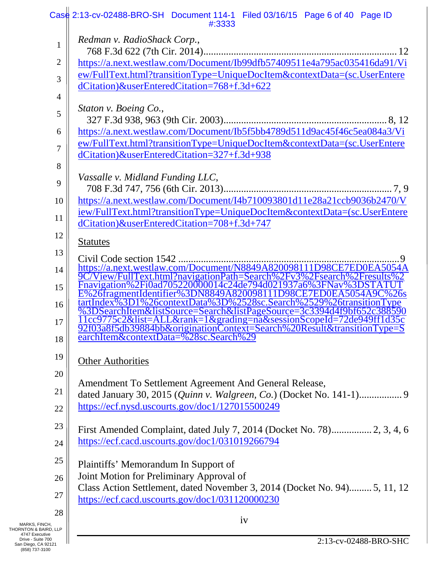|                                                          | $\text{Cas}\^d$ 2:13-cv-02488-BRO-SH Document 114-1 Filed 03/16/15 Page 6 of 40 Page ID<br>#:3333                                            |
|----------------------------------------------------------|----------------------------------------------------------------------------------------------------------------------------------------------|
| $\mathbf{1}$                                             | Redman v. RadioShack Corp.,                                                                                                                  |
|                                                          |                                                                                                                                              |
| 2                                                        | https://a.next.westlaw.com/Document/Ib99dfb57409511e4a795ac035416da91/Vi                                                                     |
| 3                                                        | ew/FullText.html?transitionType=UniqueDocItem&contextData=(sc.UserEntere                                                                     |
| $\overline{4}$                                           | dCitation)&userEnteredCitation=768+f.3d+622                                                                                                  |
| 5                                                        | Staton v. Boeing Co.,                                                                                                                        |
| 6                                                        | https://a.next.westlaw.com/Document/Ib5f5bb4789d511d9ac45f46c5ea084a3/Vi                                                                     |
|                                                          | ew/FullText.html?transitionType=UniqueDocItem&contextData=(sc.UserEntere                                                                     |
| 7                                                        | dCitation)&userEnteredCitation=327+f.3d+938                                                                                                  |
| 8                                                        |                                                                                                                                              |
| 9                                                        | Vassalle v. Midland Funding LLC,                                                                                                             |
|                                                          |                                                                                                                                              |
| 10                                                       | https://a.next.westlaw.com/Document/I4b710093801d11e28a21ccb9036b2470/V                                                                      |
| 11                                                       | iew/FullText.html?transitionType=UniqueDocItem&contextData=(sc.UserEntere                                                                    |
|                                                          | dCitation)&userEnteredCitation=708+f.3d+747                                                                                                  |
| 12                                                       | <b>Statutes</b>                                                                                                                              |
| 13                                                       | Civil Code section 1542                                                                                                                      |
| 14                                                       | https://a.next.westlaw.com/Document/N8849A820098111D98CE7ED0EA5054A<br>9C/View/FullText.html?navigationPath=Search%2Fy3%2Fsearch%2Fresults%2 |
| 15                                                       | Fnavigation%2Fi0ad705220000014c24de794d021937a6%3FNav%3DSTAT                                                                                 |
|                                                          | E%26fragmentIdentifier%3DN8849A820098111D98CE7ED0EA5054A9C%26s<br>tartIndex%3D1%26contextData%3D%2528sc.Search%2529%26transitionType         |
| 16                                                       | %3DSearchItem&listSource=Search&listPageSource=3c3394d4f9bf652c388590                                                                        |
| 17                                                       | <u>1cc9775c2&amp;list=ALL&amp;rank=1&amp;grading=na&amp;sessionScopeId=72de949ff1d35c</u>                                                    |
|                                                          | 92f03a8f5db39884bb&originationContext=Search%20Result&transitionType=S<br>earchItem&contextData=%28sc.Search%29                              |
| 18                                                       |                                                                                                                                              |
| 19                                                       | <b>Other Authorities</b>                                                                                                                     |
| 20                                                       |                                                                                                                                              |
|                                                          | Amendment To Settlement Agreement And General Release,                                                                                       |
| 21                                                       |                                                                                                                                              |
| 22                                                       | https://ecf.nysd.uscourts.gov/doc1/127015500249                                                                                              |
| 23                                                       | First Amended Complaint, dated July 7, 2014 (Docket No. 78) 2, 3, 4, 6                                                                       |
| 24                                                       | https://ecf.cacd.uscourts.gov/doc1/031019266794                                                                                              |
|                                                          |                                                                                                                                              |
| 25                                                       | Plaintiffs' Memorandum In Support of                                                                                                         |
| 26                                                       | Joint Motion for Preliminary Approval of                                                                                                     |
| 27                                                       | Class Action Settlement, dated November 3, 2014 (Docket No. 94) 5, 11, 12                                                                    |
|                                                          | https://ecf.cacd.uscourts.gov/doc1/031120000230                                                                                              |
| 28                                                       | iv                                                                                                                                           |
| MARKS, FINCH,<br>THORNTON & BAIRD, LLP<br>4747 Executive |                                                                                                                                              |
| Drive - Suite 700<br>San Diego, CA 92121                 | 2:13-cv-02488-BRO-SHC                                                                                                                        |
| (858) 737-3100                                           |                                                                                                                                              |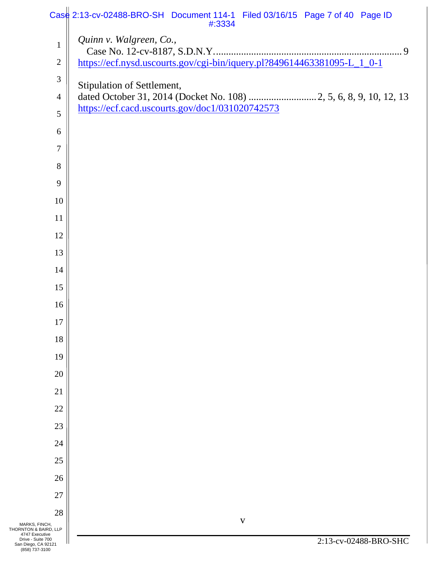|                                                                               | Case 2:13-cv-02488-BRO-SH Document 114-1 Filed 03/16/15 Page 7 of 40 Page ID<br>#:3334           |
|-------------------------------------------------------------------------------|--------------------------------------------------------------------------------------------------|
| $\mathbf{1}$                                                                  | Quinn v. Walgreen, Co.,                                                                          |
| $\sqrt{2}$                                                                    | https://ecf.nysd.uscourts.gov/cgi-bin/iquery.pl?849614463381095-L_1_0-1                          |
| 3                                                                             |                                                                                                  |
| $\overline{4}$                                                                | Stipulation of Settlement,<br>dated October 31, 2014 (Docket No. 108)  2, 5, 6, 8, 9, 10, 12, 13 |
| 5                                                                             | https://ecf.cacd.uscourts.gov/doc1/031020742573                                                  |
| 6                                                                             |                                                                                                  |
| $\tau$                                                                        |                                                                                                  |
| 8                                                                             |                                                                                                  |
| 9                                                                             |                                                                                                  |
| 10                                                                            |                                                                                                  |
| 11                                                                            |                                                                                                  |
| 12                                                                            |                                                                                                  |
| 13                                                                            |                                                                                                  |
| 14                                                                            |                                                                                                  |
| 15                                                                            |                                                                                                  |
| 16                                                                            |                                                                                                  |
| 17                                                                            |                                                                                                  |
| 18                                                                            |                                                                                                  |
| 19                                                                            |                                                                                                  |
| 20                                                                            |                                                                                                  |
| 21                                                                            |                                                                                                  |
| 22                                                                            |                                                                                                  |
| 23                                                                            |                                                                                                  |
| 24                                                                            |                                                                                                  |
| 25                                                                            |                                                                                                  |
| 26                                                                            |                                                                                                  |
| 27                                                                            |                                                                                                  |
| 28                                                                            | $\mathbf{V}$                                                                                     |
| MARKS, FINCH,<br>THORNTON & BAIRD, LLP<br>4747 Executive<br>Drive - Suite 700 |                                                                                                  |
| San Diego, CA 92121<br>(858) 737-3100                                         | 2:13-cv-02488-BRO-SHC                                                                            |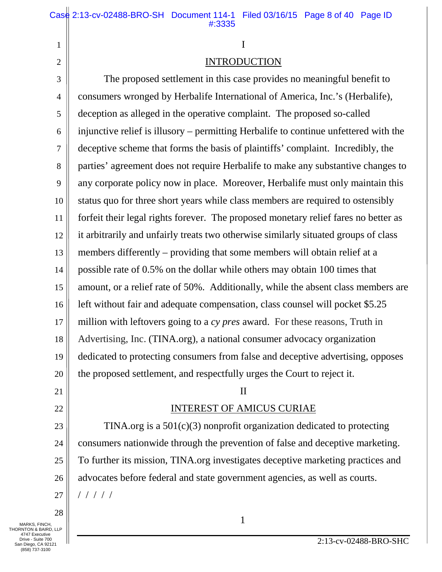# I

# INTRODUCTION

3 4 5 6 7 8 9 10 11 12 13 14 15 16 17 18 19 20 The proposed settlement in this case provides no meaningful benefit to consumers wronged by Herbalife International of America, Inc.'s (Herbalife), deception as alleged in the operative complaint. The proposed so-called injunctive relief is illusory – permitting Herbalife to continue unfettered with the deceptive scheme that forms the basis of plaintiffs' complaint. Incredibly, the parties' agreement does not require Herbalife to make any substantive changes to any corporate policy now in place. Moreover, Herbalife must only maintain this status quo for three short years while class members are required to ostensibly forfeit their legal rights forever. The proposed monetary relief fares no better as it arbitrarily and unfairly treats two otherwise similarly situated groups of class members differently – providing that some members will obtain relief at a possible rate of 0.5% on the dollar while others may obtain 100 times that amount, or a relief rate of 50%. Additionally, while the absent class members are left without fair and adequate compensation, class counsel will pocket \$5.25 million with leftovers going to a *cy pres* award. For these reasons, Truth in Advertising, Inc. (TINA.org), a national consumer advocacy organization dedicated to protecting consumers from false and deceptive advertising, opposes the proposed settlement, and respectfully urges the Court to reject it.

# 21

22

1

2

# II

# INTEREST OF AMICUS CURIAE

23 24 25 26 27 TINA.org is a 501(c)(3) nonprofit organization dedicated to protecting consumers nationwide through the prevention of false and deceptive marketing. To further its mission, TINA.org investigates deceptive marketing practices and advocates before federal and state government agencies, as well as courts. / / / / /

28  $\begin{array}{c} \hline \text{MARKS, FINCH,} \end{array}$ 

THORNTON & BAIRD, LLP 4747 Executive Drive - Suite 700 San Diego, CA 92121 (858) 737-3100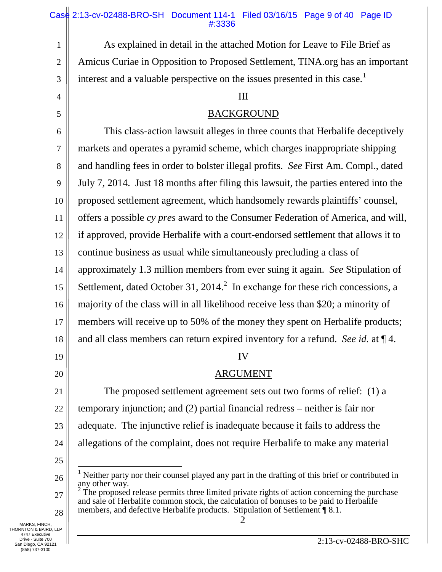### Case 2:13-cv-02488-BRO-SH Document 114-1 Filed 03/16/15 Page 9 of 40 Page ID #:3336

1 2 3 4 5 6 7 8 9 10 11 12 13 14 15 16 17 18 19 20 21 22 23 24 25 26 27 28 MARKS, FINCH,  $\begin{array}{|c|c|c|c|c|}\n\hline\n2 & 2 & 2\n\end{array}$ As explained in detail in the attached Motion for Leave to File Brief as Amicus Curiae in Opposition to Proposed Settlement, TINA.org has an important interest and a valuable perspective on the issues presented in this case.<sup>[1](#page-17-0)</sup> III This class-action lawsuit alleges in three counts that Herbalife deceptively markets and operates a pyramid scheme, which charges inappropriate shipping and handling fees in order to bolster illegal profits. *See* First Am. Compl., dated July 7, 2014. Just 18 months after filing this lawsuit, the parties entered into the proposed settlement agreement, which handsomely rewards plaintiffs' counsel, offers a possible *cy pres* award to the Consumer Federation of America, and will, if approved, provide Herbalife with a court-endorsed settlement that allows it to continue business as usual while simultaneously precluding a class of approximately 1.3 million members from ever suing it again. *See* Stipulation of Settlement, dated October 31, [2](#page-17-1)014.<sup>2</sup> In exchange for these rich concessions, a BACKGROUND IV majority of the class will in all likelihood receive less than \$20; a minority of members will receive up to 50% of the money they spent on Herbalife products; and all class members can return expired inventory for a refund. *See id.* at ¶ 4. The proposed settlement agreement sets out two forms of relief: (1) a temporary injunction; and (2) partial financial redress – neither is fair nor adequate. The injunctive relief is inadequate because it fails to address the allegations of the complaint, does not require Herbalife to make any material ARGUMENT <sup>1</sup> Neither party nor their counsel played any part in the drafting of this brief or contributed in any other way. The proposed release permits three limited private rights of action concerning the purchase and sale of Herbalife common stock, the calculation of bonuses to be paid to Herbalife members, and defective Herbalife products. Stipulation of Settlement <sup>18.1</sup>.

<span id="page-17-1"></span><span id="page-17-0"></span>THORNTON & BAIRD, LLP 4747 Executive Drive - Suite 700 San Diego, CA 92121 (858) 737-3100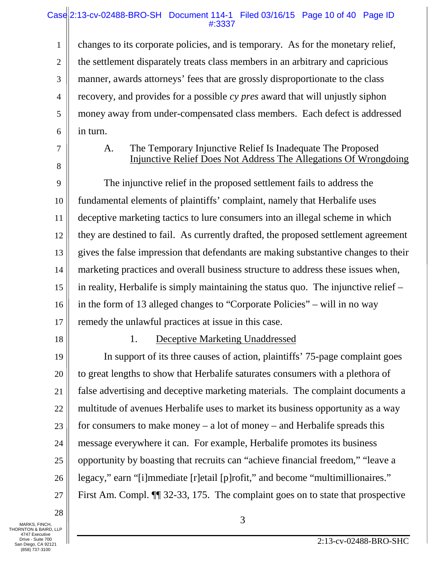## Case 2:13-cv-02488-BRO-SH Document 114-1 Filed 03/16/15 Page 10 of 40 Page ID #:3337

1 2 3 4 5 6 changes to its corporate policies, and is temporary. As for the monetary relief, the settlement disparately treats class members in an arbitrary and capricious manner, awards attorneys' fees that are grossly disproportionate to the class recovery, and provides for a possible *cy pres* award that will unjustly siphon money away from under-compensated class members. Each defect is addressed in turn.

7

8

# A. The Temporary Injunctive Relief Is Inadequate The Proposed Injunctive Relief Does Not Address The Allegations Of Wrongdoing

9 10 11 12 13 14 15 16 17 The injunctive relief in the proposed settlement fails to address the fundamental elements of plaintiffs' complaint, namely that Herbalife uses deceptive marketing tactics to lure consumers into an illegal scheme in which they are destined to fail. As currently drafted, the proposed settlement agreement gives the false impression that defendants are making substantive changes to their marketing practices and overall business structure to address these issues when, in reality, Herbalife is simply maintaining the status quo. The injunctive relief – in the form of 13 alleged changes to "Corporate Policies" – will in no way remedy the unlawful practices at issue in this case.

18

#### 1. Deceptive Marketing Unaddressed

19 20 21 22 23 24 25 26 27 In support of its three causes of action, plaintiffs' 75-page complaint goes to great lengths to show that Herbalife saturates consumers with a plethora of false advertising and deceptive marketing materials. The complaint documents a multitude of avenues Herbalife uses to market its business opportunity as a way for consumers to make money – a lot of money – and Herbalife spreads this message everywhere it can. For example, Herbalife promotes its business opportunity by boasting that recruits can "achieve financial freedom," "leave a legacy," earn "[i]mmediate [r]etail [p]rofit," and become "multimillionaires." First Am. Compl. ¶¶ 32-33, 175. The complaint goes on to state that prospective

28 MARKS, FINCH,  $\begin{array}{|c|c|c|c|c|}\n\hline\n3 & 3 & \mline\n\end{array}$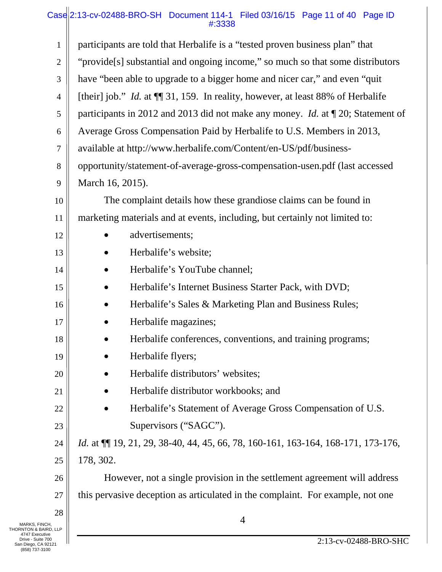# Case 2:13-cv-02488-BRO-SH Document 114-1 Filed 03/16/15 Page 11 of 40 Page ID #:3338

| participants are told that Herbalife is a "tested proven business plan" that<br>$\mathbf{1}$<br>"provide[s] substantial and ongoing income," so much so that some distributors<br>$\overline{c}$<br>have "been able to upgrade to a bigger home and nicer car," and even "quit"<br>3<br>[their] job." <i>Id.</i> at $\P$ 31, 159. In reality, however, at least 88% of Herbalife<br>$\overline{4}$ |  |
|----------------------------------------------------------------------------------------------------------------------------------------------------------------------------------------------------------------------------------------------------------------------------------------------------------------------------------------------------------------------------------------------------|--|
|                                                                                                                                                                                                                                                                                                                                                                                                    |  |
|                                                                                                                                                                                                                                                                                                                                                                                                    |  |
|                                                                                                                                                                                                                                                                                                                                                                                                    |  |
|                                                                                                                                                                                                                                                                                                                                                                                                    |  |
| participants in 2012 and 2013 did not make any money. <i>Id.</i> at $\P$ 20; Statement of<br>5                                                                                                                                                                                                                                                                                                     |  |
| Average Gross Compensation Paid by Herbalife to U.S. Members in 2013,<br>6                                                                                                                                                                                                                                                                                                                         |  |
| available at http://www.herbalife.com/Content/en-US/pdf/business-<br>7                                                                                                                                                                                                                                                                                                                             |  |
| opportunity/statement-of-average-gross-compensation-usen.pdf (last accessed<br>8                                                                                                                                                                                                                                                                                                                   |  |
| March 16, 2015).<br>9                                                                                                                                                                                                                                                                                                                                                                              |  |
| The complaint details how these grandiose claims can be found in<br>10                                                                                                                                                                                                                                                                                                                             |  |
| marketing materials and at events, including, but certainly not limited to:<br>11                                                                                                                                                                                                                                                                                                                  |  |
| advertisements;<br>12                                                                                                                                                                                                                                                                                                                                                                              |  |
| Herbalife's website;<br>13                                                                                                                                                                                                                                                                                                                                                                         |  |
| Herbalife's YouTube channel;<br>14<br>$\bullet$                                                                                                                                                                                                                                                                                                                                                    |  |
| Herbalife's Internet Business Starter Pack, with DVD;<br>15<br>$\bullet$                                                                                                                                                                                                                                                                                                                           |  |
| Herbalife's Sales & Marketing Plan and Business Rules;<br>16<br>$\bullet$                                                                                                                                                                                                                                                                                                                          |  |
| Herbalife magazines;<br>17                                                                                                                                                                                                                                                                                                                                                                         |  |
| Herbalife conferences, conventions, and training programs;<br>18                                                                                                                                                                                                                                                                                                                                   |  |
| Herbalife flyers;<br>19                                                                                                                                                                                                                                                                                                                                                                            |  |
| Herbalife distributors' websites;<br>20                                                                                                                                                                                                                                                                                                                                                            |  |
| Herbalife distributor workbooks; and<br>21                                                                                                                                                                                                                                                                                                                                                         |  |
| Herbalife's Statement of Average Gross Compensation of U.S.<br>22                                                                                                                                                                                                                                                                                                                                  |  |
| Supervisors ("SAGC").<br>23                                                                                                                                                                                                                                                                                                                                                                        |  |
| <i>Id.</i> at $\P$ 19, 21, 29, 38-40, 44, 45, 66, 78, 160-161, 163-164, 168-171, 173-176,<br>24                                                                                                                                                                                                                                                                                                    |  |
| 178, 302.<br>25                                                                                                                                                                                                                                                                                                                                                                                    |  |
| However, not a single provision in the settlement agreement will address<br>26                                                                                                                                                                                                                                                                                                                     |  |
| this pervasive deception as articulated in the complaint. For example, not one<br>27                                                                                                                                                                                                                                                                                                               |  |
| 28<br>4                                                                                                                                                                                                                                                                                                                                                                                            |  |
| MARKS, FINCH,<br>[HORNTON & BAIRD, LLP<br>4747 Executive<br>Drive - Suite 700<br>2:13-cv-02488-BRO-SHC<br>San Diego, CA 92121<br>(858) 737-3100                                                                                                                                                                                                                                                    |  |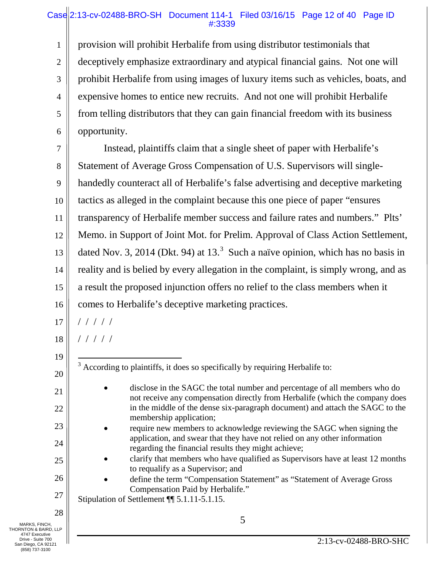## Case 2:13-cv-02488-BRO-SH Document 114-1 Filed 03/16/15 Page 12 of 40 Page ID #:3339

1 2 3 4 5 6 provision will prohibit Herbalife from using distributor testimonials that deceptively emphasize extraordinary and atypical financial gains. Not one will prohibit Herbalife from using images of luxury items such as vehicles, boats, and expensive homes to entice new recruits. And not one will prohibit Herbalife from telling distributors that they can gain financial freedom with its business opportunity.

7 8 9 10 11 12 13 14 15 16 Instead, plaintiffs claim that a single sheet of paper with Herbalife's Statement of Average Gross Compensation of U.S. Supervisors will singlehandedly counteract all of Herbalife's false advertising and deceptive marketing tactics as alleged in the complaint because this one piece of paper "ensures transparency of Herbalife member success and failure rates and numbers." Plts' Memo. in Support of Joint Mot. for Prelim. Approval of Class Action Settlement, dated Nov. [3](#page-20-0), 2014 (Dkt. 94) at 13.<sup>3</sup> Such a naïve opinion, which has no basis in reality and is belied by every allegation in the complaint, is simply wrong, and as a result the proposed injunction offers no relief to the class members when it comes to Herbalife's deceptive marketing practices.

17 / / / / /

18 / / / / /

19

<span id="page-20-0"></span>20

21

22

23

24

25

26

 $3$  According to plaintiffs, it does so specifically by requiring Herbalife to:

- disclose in the SAGC the total number and percentage of all members who do not receive any compensation directly from Herbalife (which the company does in the middle of the dense six-paragraph document) and attach the SAGC to the membership application;
- require new members to acknowledge reviewing the SAGC when signing the application, and swear that they have not relied on any other information regarding the financial results they might achieve;
- clarify that members who have qualified as Supervisors have at least 12 months to requalify as a Supervisor; and
- define the term "Compensation Statement" as "Statement of Average Gross Compensation Paid by Herbalife."

27 Stipulation of Settlement ¶¶ 5.1.11-5.1.15.

28

MARKS, FINCH,  $\begin{array}{c} 5 \end{array}$ THORNTON & BAIRD, LLP 4747 Executive Drive - Suite 700 San Diego, CA 92121 (858) 737-3100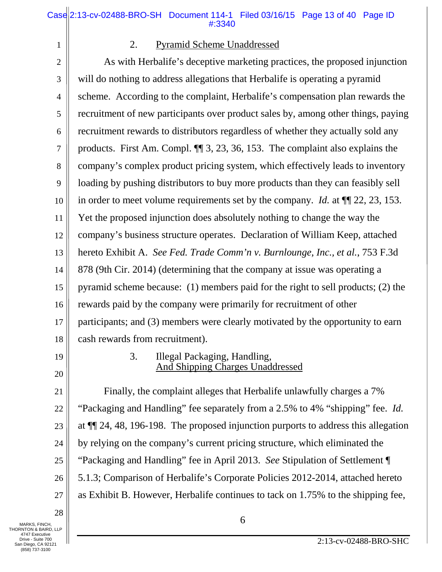1

#### 2. Pyramid Scheme Unaddressed

2 3 4 5 6 7 8 9 10 11 12 13 14 15 16 17 18 As with Herbalife's deceptive marketing practices, the proposed injunction will do nothing to address allegations that Herbalife is operating a pyramid scheme. According to the complaint, Herbalife's compensation plan rewards the recruitment of new participants over product sales by, among other things, paying recruitment rewards to distributors regardless of whether they actually sold any products. First Am. Compl. ¶¶ 3, 23, 36, 153. The complaint also explains the company's complex product pricing system, which effectively leads to inventory loading by pushing distributors to buy more products than they can feasibly sell in order to meet volume requirements set by the company. *Id.* at ¶¶ 22, 23, 153. Yet the proposed injunction does absolutely nothing to change the way the company's business structure operates. Declaration of William Keep, attached hereto Exhibit A. *See Fed. Trade Comm'n v. Burnlounge, Inc., et al.*, 753 F.3d 878 (9th Cir. 2014) (determining that the company at issue was operating a pyramid scheme because: (1) members paid for the right to sell products; (2) the rewards paid by the company were primarily for recruitment of other participants; and (3) members were clearly motivated by the opportunity to earn cash rewards from recruitment).

19

20

## 3. Illegal Packaging, Handling, And Shipping Charges Unaddressed

21 22 23 24 25 26 27 Finally, the complaint alleges that Herbalife unlawfully charges a 7% "Packaging and Handling" fee separately from a 2.5% to 4% "shipping" fee. *Id.*  at ¶¶ 24, 48, 196-198. The proposed injunction purports to address this allegation by relying on the company's current pricing structure, which eliminated the "Packaging and Handling" fee in April 2013. *See* Stipulation of Settlement ¶ 5.1.3; Comparison of Herbalife's Corporate Policies 2012-2014, attached hereto as Exhibit B. However, Herbalife continues to tack on 1.75% to the shipping fee,

28

MARKS, FINCH,  $\bigcirc$   $\bigcirc$   $\bigcirc$ THORNTON & BAIRD, LLP 4747 Executive Drive - Suite 700 San Diego, CA 92121 (858) 737-3100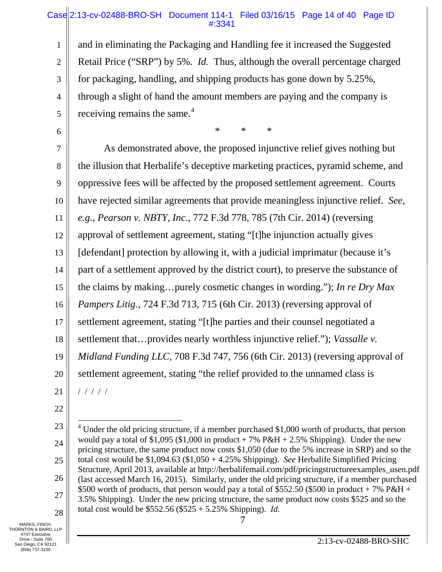## Case 2:13-cv-02488-BRO-SH Document 114-1 Filed 03/16/15 Page 14 of 40 Page ID #:3341

1 2 3 4 5 and in eliminating the Packaging and Handling fee it increased the Suggested Retail Price ("SRP") by 5%. *Id.* Thus, although the overall percentage charged for packaging, handling, and shipping products has gone down by 5.25%, through a slight of hand the amount members are paying and the company is receiving remains the same.<sup>[4](#page-22-0)</sup>

\* \* \*

7 8 9 10 11 12 13 14 15 16 17 18 19 20 21 As demonstrated above, the proposed injunctive relief gives nothing but the illusion that Herbalife's deceptive marketing practices, pyramid scheme, and oppressive fees will be affected by the proposed settlement agreement. Courts have rejected similar agreements that provide meaningless injunctive relief. *See, e.g.*, *Pearson v. NBTY, Inc.*, 772 F.3d 778, 785 (7th Cir. 2014) (reversing approval of settlement agreement, stating "[t]he injunction actually gives [defendant] protection by allowing it, with a judicial imprimatur (because it's part of a settlement approved by the district court), to preserve the substance of the claims by making…purely cosmetic changes in wording."); *In re Dry Max Pampers Litig.*, 724 F.3d 713, 715 (6th Cir. 2013) (reversing approval of settlement agreement, stating "[t]he parties and their counsel negotiated a settlement that…provides nearly worthless injunctive relief."); *Vassalle v. Midland Funding LLC*, 708 F.3d 747, 756 (6th Cir. 2013) (reversing approval of settlement agreement, stating "the relief provided to the unnamed class is / / / / /

22

6

MARKS, FINCH,  $\begin{array}{c} 7 \end{array}$ THORNTON & BAIRD, LLP 4747 Executive Drive - Suite 700 San Diego, CA 92121 (858) 737-3100

<span id="page-22-0"></span><sup>23</sup> 24 25 26 27 28  $4$  Under the old pricing structure, if a member purchased \$1,000 worth of products, that person would pay a total of \$1,095 (\$1,000 in product  $+ 7\%$  P&H  $+ 2.5\%$  Shipping). Under the new pricing structure, the same product now costs \$1,050 (due to the 5% increase in SRP) and so the total cost would be \$1,094.63 (\$1,050 + 4.25% Shipping). *See* Herbalife Simplified Pricing Structure, April 2013, available at http://herbalifemail.com/pdf/pricingstructureexamples\_usen.pdf (last accessed March 16, 2015). Similarly, under the old pricing structure, if a member purchased \$500 worth of products, that person would pay a total of \$552.50 (\$500 in product + 7% P&H + 3.5% Shipping). Under the new pricing structure, the same product now costs \$525 and so the total cost would be \$552.56 (\$525 + 5.25% Shipping). *Id.*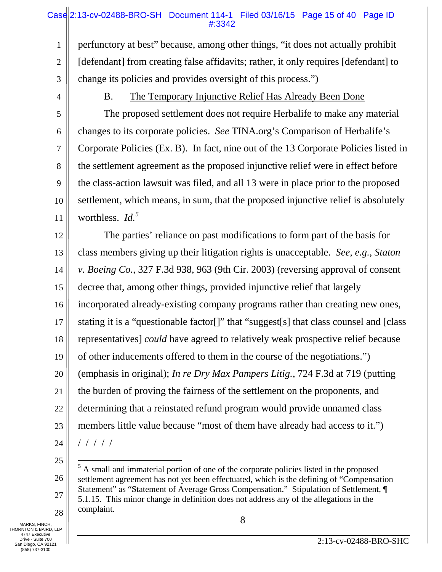# Case 2:13-cv-02488-BRO-SH Document 114-1 Filed 03/16/15 Page 15 of 40 Page ID #:3342

1 2 3 perfunctory at best" because, among other things, "it does not actually prohibit [defendant] from creating false affidavits; rather, it only requires [defendant] to change its policies and provides oversight of this process.")

4

5

6

7

8

9

10

11

#### B. The Temporary Injunctive Relief Has Already Been Done

The proposed settlement does not require Herbalife to make any material changes to its corporate policies. *See* TINA.org's Comparison of Herbalife's Corporate Policies (Ex. B). In fact, nine out of the 13 Corporate Policies listed in the settlement agreement as the proposed injunctive relief were in effect before the class-action lawsuit was filed, and all 13 were in place prior to the proposed settlement, which means, in sum, that the proposed injunctive relief is absolutely worthless. *Id. [5](#page-23-0)*

12 13 14 15 16 17 18 19 20 21 22 23 The parties' reliance on past modifications to form part of the basis for class members giving up their litigation rights is unacceptable. *See, e.g.*, *Staton v. Boeing Co.*, 327 F.3d 938, 963 (9th Cir. 2003) (reversing approval of consent decree that, among other things, provided injunctive relief that largely incorporated already-existing company programs rather than creating new ones, stating it is a "questionable factor[]" that "suggest[s] that class counsel and [class representatives] *could* have agreed to relatively weak prospective relief because of other inducements offered to them in the course of the negotiations.") (emphasis in original); *In re Dry Max Pampers Litig.*, 724 F.3d at 719 (putting the burden of proving the fairness of the settlement on the proponents, and determining that a reinstated refund program would provide unnamed class members little value because "most of them have already had access to it.") / / / / /

24 25

26

27

28

 <sup>5</sup> A small and immaterial portion of one of the corporate policies listed in the proposed settlement agreement has not yet been effectuated, which is the defining of "Compensation Statement" as "Statement of Average Gross Compensation." Stipulation of Settlement, ¶ 5.1.15. This minor change in definition does not address any of the allegations in the complaint.

<span id="page-23-0"></span>MARKS, FINCH,  $\Big\|$   $\Big\|$ THORNTON & BAIRD, LLP 4747 Executive Drive - Suite 700 San Diego, CA 92121 (858) 737-3100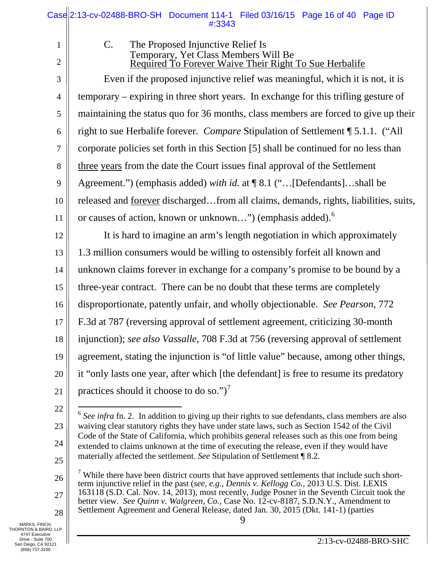|                | Case 2:13-cv-02488-BRO-SH Document 114-1 Filed 03/16/15 Page 16 of 40 Page ID<br>#:3343                                                                                                                    |
|----------------|------------------------------------------------------------------------------------------------------------------------------------------------------------------------------------------------------------|
| $\mathbf{1}$   | The Proposed Injunctive Relief Is<br>$C_{\cdot}$                                                                                                                                                           |
| $\overline{2}$ | Temporary, Yet Class Members Will Be<br>Required To Forever Waive Their Right To Sue Herbalife                                                                                                             |
| 3              | Even if the proposed injunctive relief was meaningful, which it is not, it is                                                                                                                              |
| $\overline{4}$ | temporary – expiring in three short years. In exchange for this trifling gesture of                                                                                                                        |
| 5              | maintaining the status quo for 36 months, class members are forced to give up their                                                                                                                        |
| 6              | right to sue Herbalife forever. Compare Stipulation of Settlement ¶ 5.1.1. ("All                                                                                                                           |
| $\tau$         | corporate policies set forth in this Section [5] shall be continued for no less than                                                                                                                       |
| $8\,$          | three years from the date the Court issues final approval of the Settlement                                                                                                                                |
| 9              | Agreement.") (emphasis added) with id. at ¶ 8.1 ("[Defendants]shall be                                                                                                                                     |
| 10             | released and <u>forever</u> dischargedfrom all claims, demands, rights, liabilities, suits,                                                                                                                |
| 11             | or causes of action, known or unknown") (emphasis added). <sup>6</sup>                                                                                                                                     |
| 12             | It is hard to imagine an arm's length negotiation in which approximately                                                                                                                                   |
| 13             | 1.3 million consumers would be willing to ostensibly forfeit all known and                                                                                                                                 |
| 14             | unknown claims forever in exchange for a company's promise to be bound by a                                                                                                                                |
| 15             | three-year contract. There can be no doubt that these terms are completely                                                                                                                                 |
| 16             | disproportionate, patently unfair, and wholly objectionable. See Pearson, 772                                                                                                                              |
| 17             | F.3d at 787 (reversing approval of settlement agreement, criticizing 30-month                                                                                                                              |
| 18             | injunction); see also Vassalle, 708 F.3d at 756 (reversing approval of settlement                                                                                                                          |
| 19             | agreement, stating the injunction is "of little value" because, among other things,                                                                                                                        |
| 20             | it "only lasts one year, after which [the defendant] is free to resume its predatory                                                                                                                       |
| 21             | practices should it choose to do so.") <sup>7</sup>                                                                                                                                                        |
| 22             | $6$ See infra fn. 2. In addition to giving up their rights to sue defendants, class members are also                                                                                                       |
| 23             | waiving clear statutory rights they have under state laws, such as Section 1542 of the Civil                                                                                                               |
| 24             | Code of the State of California, which prohibits general releases such as this one from being<br>extended to claims unknown at the time of executing the release, even if they would have                  |
| 25             | materially affected the settlement. See Stipulation of Settlement ¶ 8.2.                                                                                                                                   |
| 26             | $\frac{7}{7}$ While there have been district courts that have approved settlements that include such short-<br>term injunctive relief in the past (see, e.g., Dennis v. Kellogg Co., 2013 U.S. Dist. LEXIS |
| 27             | $163118$ (S.D. Cal. Nov. 14, 2013), most recently, Judge Posner in the Seventh Circuit took the hatter view. See Quimp w Walance Ge. Gees No. 12 av 8187, S.D.N.Y. Amendment to                            |

<span id="page-24-1"></span><span id="page-24-0"></span>28 MARKS, FINCH,<br>
THORNTON & BAIRD, LLP<br>
4747 Executive<br>
Drive - Suite 700<br>
San Diego, CA 92121<br>
(858) 737-3100

Ш

better view. *See Quinn v. Walgreen, Co.,* Case No. 12-cv-8187, S.D.N.Y., Amendment to Settlement Agreement and General Release, dated Jan. 30, 2015 (Dkt. 141-1) (parties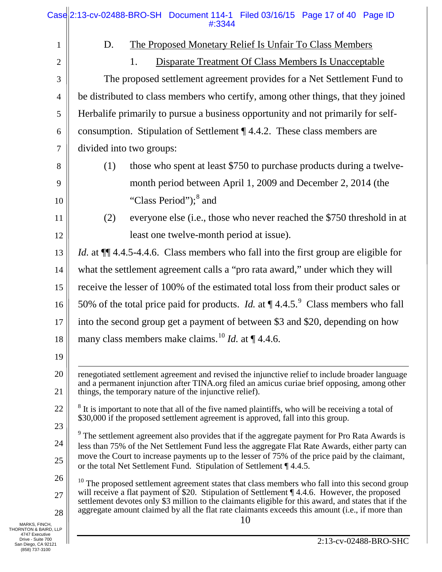<span id="page-25-2"></span><span id="page-25-1"></span><span id="page-25-0"></span>

|                                                            | Case 2:13-cv-02488-BRO-SH Document 114-1 Filed 03/16/15 Page 17 of 40 Page ID<br>#:3344                                                                                                                    |  |  |  |
|------------------------------------------------------------|------------------------------------------------------------------------------------------------------------------------------------------------------------------------------------------------------------|--|--|--|
| 1                                                          | The Proposed Monetary Relief Is Unfair To Class Members<br>D.                                                                                                                                              |  |  |  |
| $\overline{2}$                                             | <b>Disparate Treatment Of Class Members Is Unacceptable</b><br>1.                                                                                                                                          |  |  |  |
| $\mathfrak{Z}$                                             | The proposed settlement agreement provides for a Net Settlement Fund to                                                                                                                                    |  |  |  |
| $\overline{4}$                                             | be distributed to class members who certify, among other things, that they joined                                                                                                                          |  |  |  |
| 5                                                          | Herbalife primarily to pursue a business opportunity and not primarily for self-                                                                                                                           |  |  |  |
| 6                                                          | consumption. Stipulation of Settlement $\P$ 4.4.2. These class members are                                                                                                                                 |  |  |  |
| $\tau$                                                     | divided into two groups:                                                                                                                                                                                   |  |  |  |
| 8                                                          | those who spent at least \$750 to purchase products during a twelve-<br>(1)                                                                                                                                |  |  |  |
| 9                                                          | month period between April 1, 2009 and December 2, 2014 (the                                                                                                                                               |  |  |  |
| 10                                                         | "Class Period"); <sup>8</sup> and                                                                                                                                                                          |  |  |  |
| 11                                                         | everyone else (i.e., those who never reached the \$750 threshold in at<br>(2)                                                                                                                              |  |  |  |
| 12                                                         | least one twelve-month period at issue).                                                                                                                                                                   |  |  |  |
| 13                                                         | <i>Id.</i> at $\P$ 4.4.5-4.4.6. Class members who fall into the first group are eligible for                                                                                                               |  |  |  |
| 14                                                         | what the settlement agreement calls a "pro rata award," under which they will                                                                                                                              |  |  |  |
| 15                                                         | receive the lesser of 100% of the estimated total loss from their product sales or                                                                                                                         |  |  |  |
| 16                                                         | 50% of the total price paid for products. <i>Id.</i> at $\P$ 4.4.5. Class members who fall                                                                                                                 |  |  |  |
| 17                                                         | into the second group get a payment of between \$3 and \$20, depending on how                                                                                                                              |  |  |  |
| 18                                                         | many class members make claims. <sup>10</sup> <i>Id.</i> at $\P$ 4.4.6.                                                                                                                                    |  |  |  |
| 19                                                         |                                                                                                                                                                                                            |  |  |  |
| 20                                                         | renegotiated settlement agreement and revised the injunctive relief to include broader language                                                                                                            |  |  |  |
| 21                                                         | and a permanent injunction after TINA.org filed an amicus curiae brief opposing, among other<br>things, the temporary nature of the injunctive relief).                                                    |  |  |  |
| 22                                                         | <sup>8</sup> It is important to note that all of the five named plaintiffs, who will be receiving a total of                                                                                               |  |  |  |
| 23                                                         | \$30,000 if the proposed settlement agreement is approved, fall into this group.                                                                                                                           |  |  |  |
| 24                                                         | <sup>9</sup> The settlement agreement also provides that if the aggregate payment for Pro Rata Awards is<br>less than 75% of the Net Settlement Fund less the aggregate Flat Rate Awards, either party can |  |  |  |
| 25                                                         | move the Court to increase payments up to the lesser of 75% of the price paid by the claimant,<br>or the total Net Settlement Fund. Stipulation of Settlement ¶ 4.4.5.                                     |  |  |  |
| 26                                                         | $10$ The proposed settlement agreement states that class members who fall into this second group                                                                                                           |  |  |  |
| 27                                                         | will receive a flat payment of \$20. Stipulation of Settlement ¶ 4.4.6. However, the proposed<br>settlement devotes only \$3 million to the claimants eligible for this award, and states that if the      |  |  |  |
| 28                                                         | aggregate amount claimed by all the flat rate claimants exceeds this amount (i.e., if more than<br>10                                                                                                      |  |  |  |
| MARKS, FINCH,<br>HORNTON & BAIRD, LLP<br>4747 Executive    |                                                                                                                                                                                                            |  |  |  |
| Drive - Suite 700<br>San Diego, CA 92121<br>(858) 737-3100 | 2:13-cv-02488-BRO-SHC                                                                                                                                                                                      |  |  |  |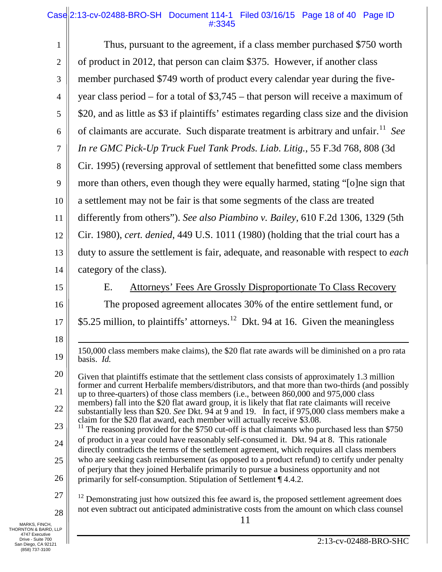# Case 2:13-cv-02488-BRO-SH Document 114-1 Filed 03/16/15 Page 18 of 40 Page ID #:3345

<span id="page-26-1"></span><span id="page-26-0"></span>

| 1                                                          | Thus, pursuant to the agreement, if a class member purchased \$750 worth                                                                                                                                                      |
|------------------------------------------------------------|-------------------------------------------------------------------------------------------------------------------------------------------------------------------------------------------------------------------------------|
| $\overline{2}$                                             | of product in 2012, that person can claim \$375. However, if another class                                                                                                                                                    |
| 3                                                          | member purchased \$749 worth of product every calendar year during the five-                                                                                                                                                  |
| $\overline{4}$                                             | year class period – for a total of $$3,745$ – that person will receive a maximum of                                                                                                                                           |
| 5                                                          | \$20, and as little as \$3 if plaintiffs' estimates regarding class size and the division                                                                                                                                     |
| 6                                                          | of claimants are accurate. Such disparate treatment is arbitrary and unfair. <sup>11</sup> See                                                                                                                                |
| $\overline{7}$                                             | In re GMC Pick-Up Truck Fuel Tank Prods. Liab. Litig., 55 F.3d 768, 808 (3d                                                                                                                                                   |
| 8                                                          | Cir. 1995) (reversing approval of settlement that benefitted some class members                                                                                                                                               |
| 9                                                          | more than others, even though they were equally harmed, stating "[o]ne sign that                                                                                                                                              |
| 10                                                         | a settlement may not be fair is that some segments of the class are treated                                                                                                                                                   |
| 11                                                         | differently from others"). See also Piambino v. Bailey, 610 F.2d 1306, 1329 (5th                                                                                                                                              |
| 12                                                         | Cir. 1980), cert. denied, 449 U.S. 1011 (1980) (holding that the trial court has a                                                                                                                                            |
| 13                                                         | duty to assure the settlement is fair, adequate, and reasonable with respect to each                                                                                                                                          |
| 14                                                         | category of the class).                                                                                                                                                                                                       |
| 15                                                         | <b>Attorneys' Fees Are Grossly Disproportionate To Class Recovery</b><br>Ε.                                                                                                                                                   |
| 16                                                         | The proposed agreement allocates 30% of the entire settlement fund, or                                                                                                                                                        |
| 17                                                         | \$5.25 million, to plaintiffs' attorneys. <sup>12</sup> Dkt. 94 at 16. Given the meaningless                                                                                                                                  |
| 18                                                         |                                                                                                                                                                                                                               |
| 19                                                         | 150,000 class members make claims), the \$20 flat rate awards will be diminished on a pro rata<br>basis. Id.                                                                                                                  |
| 20                                                         | Given that plaintiffs estimate that the settlement class consists of approximately 1.3 million                                                                                                                                |
| 21                                                         | former and current Herbalife members/distributors, and that more than two-thirds (and possibly<br>up to three-quarters) of those class members (i.e., between 860,000 and 975,000 class                                       |
| 22                                                         | members) fall into the \$20 flat award group, it is likely that flat rate claimants will receive<br>substantially less than \$20. See Dkt. $9\overline{4}$ at $\overline{9}$ and 19. In fact, if 975,000 class members make a |
| 23                                                         | claim for the \$20 flat award, each member will actually receive \$3.08.<br>$11$ The reasoning provided for the \$750 cut-off is that claimants who purchased less than \$750                                                 |
| 24                                                         | of product in a year could have reasonably self-consumed it. Dkt. 94 at 8. This rationale<br>directly contradicts the terms of the settlement agreement, which requires all class members                                     |
| 25                                                         | who are seeking cash reimbursement (as opposed to a product refund) to certify under penalty                                                                                                                                  |
| 26                                                         | of perjury that they joined Herbalife primarily to pursue a business opportunity and not<br>primarily for self-consumption. Stipulation of Settlement ¶ 4.4.2.                                                                |
| 27                                                         | $12$ Demonstrating just how outsized this fee award is, the proposed settlement agreement does                                                                                                                                |
| 28                                                         | not even subtract out anticipated administrative costs from the amount on which class counsel<br>11                                                                                                                           |
| MARKS, FINCH,<br>THORNTON & BAIRD, LLP<br>4747 Executive   |                                                                                                                                                                                                                               |
| Drive - Suite 700<br>San Diego, CA 92121<br>(858) 737-3100 | 2:13-cv-02488-BRO-SHC                                                                                                                                                                                                         |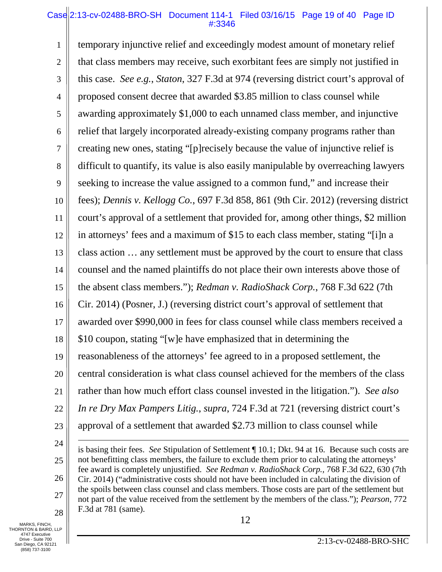## Case 2:13-cv-02488-BRO-SH Document 114-1 Filed 03/16/15 Page 19 of 40 Page ID #:3346

1 2 3 4 5 6 7 8 9 10 11 12 13 14 15 16 17 18 19 20 21 22 23 24 temporary injunctive relief and exceedingly modest amount of monetary relief that class members may receive, such exorbitant fees are simply not justified in this case. *See e.g.*, *Staton*, 327 F.3d at 974 (reversing district court's approval of proposed consent decree that awarded \$3.85 million to class counsel while awarding approximately \$1,000 to each unnamed class member, and injunctive relief that largely incorporated already-existing company programs rather than creating new ones, stating "[p]recisely because the value of injunctive relief is difficult to quantify, its value is also easily manipulable by overreaching lawyers seeking to increase the value assigned to a common fund," and increase their fees); *Dennis v. Kellogg Co.*, 697 F.3d 858, 861 (9th Cir. 2012) (reversing district court's approval of a settlement that provided for, among other things, \$2 million in attorneys' fees and a maximum of \$15 to each class member, stating "[i]n a class action … any settlement must be approved by the court to ensure that class counsel and the named plaintiffs do not place their own interests above those of the absent class members."); *Redman v. RadioShack Corp.*, 768 F.3d 622 (7th Cir. 2014) (Posner, J.) (reversing district court's approval of settlement that awarded over \$990,000 in fees for class counsel while class members received a \$10 coupon, stating "[w]e have emphasized that in determining the reasonableness of the attorneys' fee agreed to in a proposed settlement, the central consideration is what class counsel achieved for the members of the class rather than how much effort class counsel invested in the litigation."). *See also In re Dry Max Pampers Litig.*, *supra*, 724 F.3d at 721 (reversing district court's approval of a settlement that awarded \$2.73 million to class counsel while  $\overline{a}$ 

is basing their fees. *See* Stipulation of Settlement ¶ 10.1; Dkt. 94 at 16. Because such costs are not benefitting class members, the failure to exclude them prior to calculating the attorneys' fee award is completely unjustified. *See Redman v. RadioShack Corp.,* 768 F.3d 622, 630 (7th Cir. 2014) ("administrative costs should not have been included in calculating the division of the spoils between class counsel and class members. Those costs are part of the settlement but not part of the value received from the settlement by the members of the class."); *Pearson*, 772 F.3d at 781 (same).

28 12 MARKS, FINCH, THORNTON & BAIRD, LLP 4747 Executive Drive - Suite 700 San Diego, CA 92121 (858) 737-3100

25

26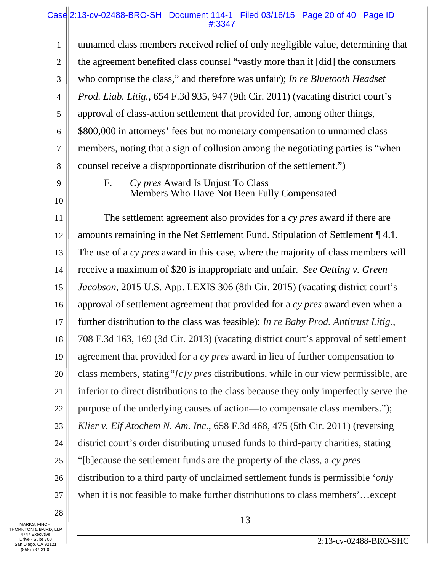# Case 2:13-cv-02488-BRO-SH Document 114-1 Filed 03/16/15 Page 20 of 40 Page ID #:3347

1 2 3 4 5 6 7 8 unnamed class members received relief of only negligible value, determining that the agreement benefited class counsel "vastly more than it [did] the consumers who comprise the class," and therefore was unfair); *In re Bluetooth Headset Prod. Liab. Litig.*, 654 F.3d 935, 947 (9th Cir. 2011) (vacating district court's approval of class-action settlement that provided for, among other things, \$800,000 in attorneys' fees but no monetary compensation to unnamed class members, noting that a sign of collusion among the negotiating parties is "when counsel receive a disproportionate distribution of the settlement.")

9

10

# F. *Cy pres* Award Is Unjust To Class Members Who Have Not Been Fully Compensated

11 12 13 14 15 16 17 18 19 20 21 22 23 24 25 26 27 The settlement agreement also provides for a *cy pres* award if there are amounts remaining in the Net Settlement Fund. Stipulation of Settlement ¶ 4.1. The use of a *cy pres* award in this case, where the majority of class members will receive a maximum of \$20 is inappropriate and unfair. *See Oetting v. Green Jacobson*, 2015 U.S. App. LEXIS 306 (8th Cir. 2015) (vacating district court's approval of settlement agreement that provided for a *cy pres* award even when a further distribution to the class was feasible); *In re Baby Prod. Antitrust Litig.*, 708 F.3d 163, 169 (3d Cir. 2013) (vacating district court's approval of settlement agreement that provided for a *cy pres* award in lieu of further compensation to class members, stating*"[c]y pres* distributions, while in our view permissible, are inferior to direct distributions to the class because they only imperfectly serve the purpose of the underlying causes of action—to compensate class members."); *Klier v. Elf Atochem N. Am. Inc.*, 658 F.3d 468, 475 (5th Cir. 2011) (reversing district court's order distributing unused funds to third-party charities, stating "[b]ecause the settlement funds are the property of the class, a *cy pres* distribution to a third party of unclaimed settlement funds is permissible '*only* when it is not feasible to make further distributions to class members'…except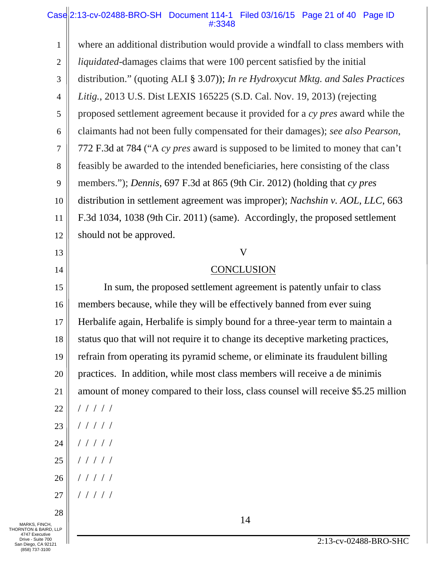# Case 2:13-cv-02488-BRO-SH Document 114-1 Filed 03/16/15 Page 21 of 40 Page ID #:3348

| 1                                                          | where an additional distribution would provide a windfall to class members with   |
|------------------------------------------------------------|-----------------------------------------------------------------------------------|
| $\overline{2}$                                             | <i>liquidated</i> -damages claims that were 100 percent satisfied by the initial  |
| 3                                                          | distribution." (quoting ALI § 3.07)); In re Hydroxycut Mktg. and Sales Practices  |
| $\overline{4}$                                             | Litig., 2013 U.S. Dist LEXIS 165225 (S.D. Cal. Nov. 19, 2013) (rejecting          |
| 5                                                          | proposed settlement agreement because it provided for a cy pres award while the   |
| 6                                                          | claimants had not been fully compensated for their damages); see also Pearson,    |
| 7                                                          | 772 F.3d at 784 ("A cy pres award is supposed to be limited to money that can't   |
| 8                                                          | feasibly be awarded to the intended beneficiaries, here consisting of the class   |
| 9                                                          | members."); <i>Dennis</i> , 697 F.3d at 865 (9th Cir. 2012) (holding that cy pres |
| 10                                                         | distribution in settlement agreement was improper); Nachshin v. AOL, LLC, 663     |
| 11                                                         | F.3d 1034, 1038 (9th Cir. 2011) (same). Accordingly, the proposed settlement      |
| 12                                                         | should not be approved.                                                           |
| 13                                                         | V                                                                                 |
| 14                                                         | <b>CONCLUSION</b>                                                                 |
| 15                                                         | In sum, the proposed settlement agreement is patently unfair to class             |
| 16                                                         | members because, while they will be effectively banned from ever suing            |
| 17                                                         | Herbalife again, Herbalife is simply bound for a three-year term to maintain a    |
| 18                                                         | status quo that will not require it to change its deceptive marketing practices,  |
| 19                                                         | refrain from operating its pyramid scheme, or eliminate its fraudulent billing    |
| 20                                                         | practices. In addition, while most class members will receive a de minimis        |
| 21                                                         | amount of money compared to their loss, class counsel will receive \$5.25 million |
| 22                                                         | /////                                                                             |
| 23                                                         | /////                                                                             |
| 24                                                         | /////                                                                             |
| 25                                                         | /////                                                                             |
| 26                                                         | /////                                                                             |
| 27                                                         | 11111                                                                             |
| 28                                                         | 14                                                                                |
| MARKS, FINCH,<br>THORNTON & BAIRD, LLP<br>4747 Executive   |                                                                                   |
| Drive - Suite 700<br>San Diego, CA 92121<br>(858) 737-3100 | 2:13-cv-02488-BRO-SHC                                                             |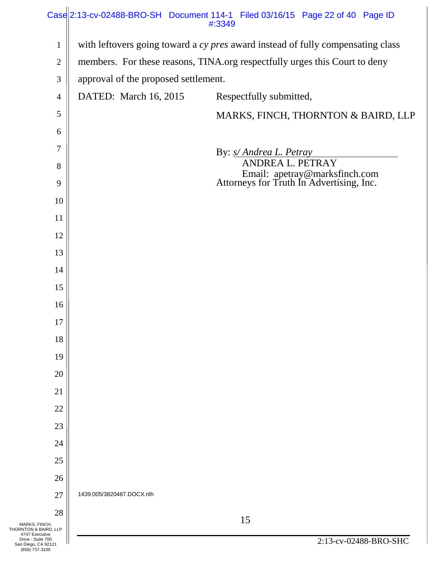|                                                            | Case 2:13-cv-02488-BRO-SH Document 114-1 Filed 03/16/15 Page 22 of 40 Page ID   |                                      | #:3349                                                                    |                       |  |
|------------------------------------------------------------|---------------------------------------------------------------------------------|--------------------------------------|---------------------------------------------------------------------------|-----------------------|--|
| 1                                                          | with leftovers going toward a cy pres award instead of fully compensating class |                                      |                                                                           |                       |  |
| $\overline{c}$                                             | members. For these reasons, TINA.org respectfully urges this Court to deny      |                                      |                                                                           |                       |  |
| 3                                                          |                                                                                 | approval of the proposed settlement. |                                                                           |                       |  |
| 4                                                          | DATED: March 16, 2015                                                           |                                      | Respectfully submitted,                                                   |                       |  |
| 5                                                          |                                                                                 |                                      | MARKS, FINCH, THORNTON & BAIRD, LLP                                       |                       |  |
| 6                                                          |                                                                                 |                                      |                                                                           |                       |  |
| 7                                                          |                                                                                 |                                      | By: <i>s/ Andrea L. Petray</i>                                            |                       |  |
| 8                                                          |                                                                                 |                                      | ANDREA L. PETRAY                                                          |                       |  |
| 9                                                          |                                                                                 |                                      | Email: apetray@marksfinch.com<br>Attorneys for Truth In Advertising, Inc. |                       |  |
| 10                                                         |                                                                                 |                                      |                                                                           |                       |  |
| 11                                                         |                                                                                 |                                      |                                                                           |                       |  |
| 12                                                         |                                                                                 |                                      |                                                                           |                       |  |
| 13                                                         |                                                                                 |                                      |                                                                           |                       |  |
| 14                                                         |                                                                                 |                                      |                                                                           |                       |  |
| 15                                                         |                                                                                 |                                      |                                                                           |                       |  |
| 16                                                         |                                                                                 |                                      |                                                                           |                       |  |
| 17                                                         |                                                                                 |                                      |                                                                           |                       |  |
| 18                                                         |                                                                                 |                                      |                                                                           |                       |  |
| 19                                                         |                                                                                 |                                      |                                                                           |                       |  |
| 20                                                         |                                                                                 |                                      |                                                                           |                       |  |
| 21                                                         |                                                                                 |                                      |                                                                           |                       |  |
| 22                                                         |                                                                                 |                                      |                                                                           |                       |  |
| 23                                                         |                                                                                 |                                      |                                                                           |                       |  |
| 24                                                         |                                                                                 |                                      |                                                                           |                       |  |
| 25                                                         |                                                                                 |                                      |                                                                           |                       |  |
| 26                                                         |                                                                                 |                                      |                                                                           |                       |  |
| 27                                                         | 1439.005/3820487.DOCX.nlh                                                       |                                      |                                                                           |                       |  |
| 28                                                         |                                                                                 |                                      | 15                                                                        |                       |  |
| MARKS, FINCH,<br>THORNTON & BAIRD, LLP<br>4747 Executive   |                                                                                 |                                      |                                                                           |                       |  |
| Drive - Suite 700<br>San Diego, CA 92121<br>(858) 737-3100 |                                                                                 |                                      |                                                                           | 2:13-cv-02488-BRO-SHC |  |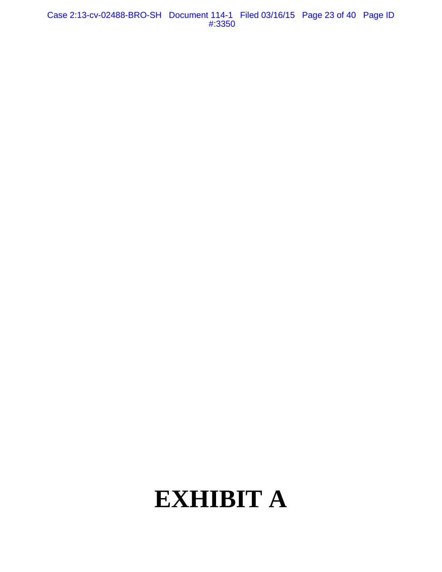Case 2:13-cv-02488-BRO-SH Document 114-1 Filed 03/16/15 Page 23 of 40 Page ID #:3350

# **EXHIBIT A**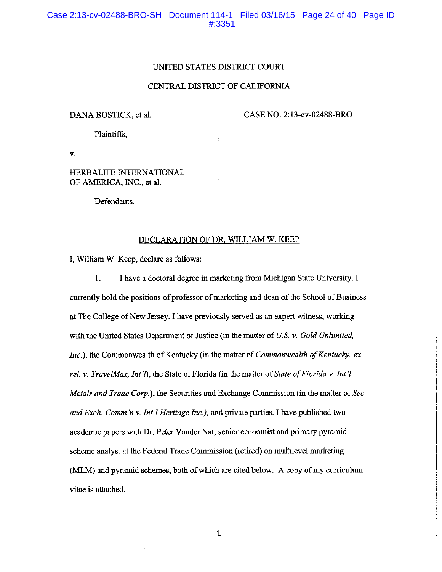#### UNITED STATES DISTRICT COURT

#### CENTRAL DISTRICT OF CALIFORNIA

#### DANA BOSTICK, et al.

CASE NO: 2:13-cv-02488-BRO

Plaintiffs,

v.

HERBALIFE INTERNATIONAL OF AMERICA, INC., et al.

Defendants.

#### DECLARATION OF DR. WILLIAM W. KEEP

I, William W. Keep, declare as follows:

1. I have a doctoral degree in marketing from Michigan State University. I currently hold the positions of professor of marketing and dean of the School of Business at The College of New Jersey. I have previously served as an expert witness, working with the United States Department of Justice (in the matter of *U.S. v. Gold Unlimited, Inc.),* the Commonwealth of Kentucky (in the matter of *Commonwealth of Kentucky, ex reI.* v. *TravelMax, Int'T),* the State of Florida (in the matter of *State of Florida* v. *Int'l Metals and Trade Corp.),* the Securities and Exchange Commission (in the matter of *Sec. and Exch. Comm 'n* v. *Int'l Heritage Inc.),* and private parties. I have published two academic papers with Dr. Peter Vander Nat, senior economist and primary pyramid scheme analyst at the Federal Trade Commission (retired) on multilevel marketing (MLM) and pyramid schemes, both of which are cited below. A copy of my curriculum vitae is attached.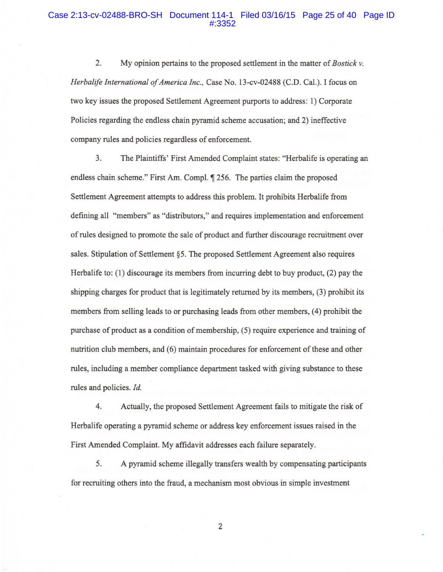#### Case 2:13-cv-02488-BRO-SH Document 114-1 Filed 03/16/15 Page 25 of 40 Page ID #:3352

2. My opinion pertains to the proposed settlement in the matter of *Bostick* v. *Herbalife International of America Inc.,* Case No. 13-cv-02488 (C.D. Cal.). I focus on two key issues the proposed Settlement Agreement purports to address: 1) Corporate Policies regarding the endless chain pyramid scheme accusation; and 2) ineffective company rules and policies regardless of enforcement.

3. The Plaintiffs' First Amended Complaint states: "Herbalife is operating an endless chain scheme." First Am. Compl.  $\parallel$  256. The parties claim the proposed Settlement Agreement attempts to address this problem. It prohibits Herbalife from deftning all "members" as "distributors," and requires implementation and enforcement of rules designed to promote the sale of product and further discourage recruitment over sales. Stipulation of Settlement §5. The proposed Settlement Agreement also requires Herbalife to: (1) discourage its members from incurring debt to buy product, (2) pay the shipping charges for product that is legitimately returned by its members, (3) prohibit its members from selling leads to or purchasing leads from other members, (4) prohibit the purchase of product as a condition of membership, (5) require experience and training of nutrition club members, and (6) maintain procedures for enforcement of these and other rules, including a member compliance department tasked with giving substance to these rules and policies. *Id.* 

4. Actually, the proposed Settlement Agreement fails to mitigate the risk of Herbalife operating a pyramid scheme or address key enforcement issues raised in the First Amended Complaint. My afftdavit addresses each failure separately.

5. A pyramid scheme illegally transfers wealth by compensating participants for recruiting others into the fraud, a mechanism most obvious in simple investment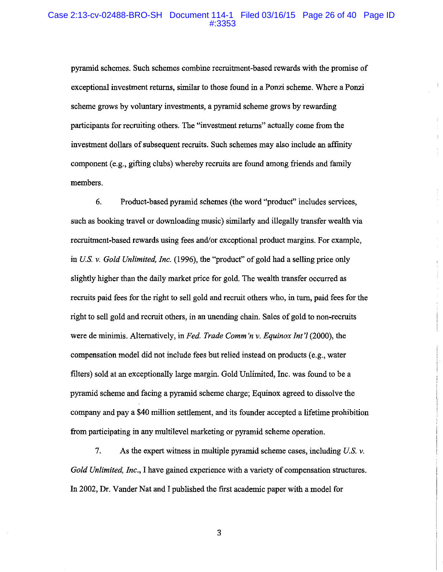#### Case 2:13-cv-02488-BRO-SH Document 114-1 Filed 03/16/15 Page 26 of 40 Page ID #:3353

pyramid schemes. Such schemes combine recruitment-based rewards with the promise of exceptional investment returns, similar to those found in a Ponzi scheme. Where a Ponzi scheme grows by voluntary investments, a pyramid scheme grows by rewarding participants for recruiting others. The "investment returns" actually come from the investment dollars of subsequent recruits. Such schemes may also include an affinity component (e.g., gifting clubs) whereby recruits are found among friends and family members.

6. Product-based pyramid schemes (the word "product" includes services, such as booking travel or downloading music) similarly and illegally transfer wealth via recruitment-based rewards using fees and/or exceptional product margins. For example, in *u.s.* v. *Gold Unlimited, Inc.* (1996), the "product" of gold had a selling price only slightly higher than the daily market price for gold. The wealth transfer occurred as recruits paid fees for the right to sell gold and recruit others who, in turn, paid fees for the right to sell gold and recruit others, in an unending chain. Sales of gold to non-recruits were de minimis. Alternatively, in *Fed. Trade Comm 'n* v. *Equinox Int'l* (2000), the compensation model did not include fees but relied instead on products (e.g., water filters) sold at an exceptionally large margin. Gold Unlimited, Inc. was found to be a pyramid scheme and facing a pyramid scheme charge; Equinox agreed to dissolve the company and pay a \$40 million settlement, and its founder accepted a lifetime prohibition from participating in any multilevel marketing or pyramid scheme operation.

7. As the expert witness in multiple pyramid scheme cases, including  $U.S.$   $\nu$ . *Gold Unlimited, Inc.,* I have gained experience with a variety of compensation structures. In 2002, Dr. Vander Nat and I published the first academic paper with a model for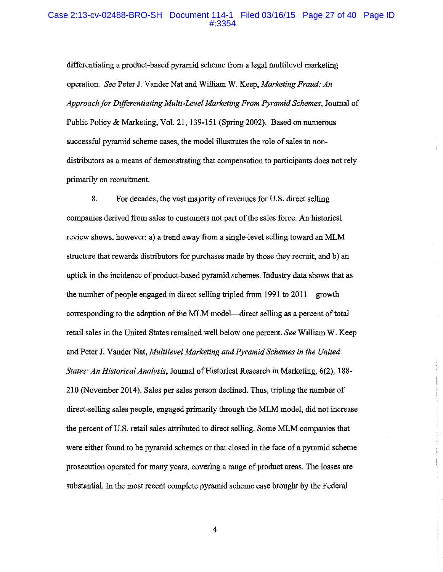#### Case 2:13-cv-02488-BRO-SH Document 114-1 Filed 03/16/15 Page 27 of 40 Page ID #:3354

differentiating a product-based pyramid scheme from a legal multilevel marketing operation. *See* Peter J. Vander Nat and William W. Keep, *Marketing Fraud: An Approach/or Differentiating Multi-Level Marketing From Pyramid Schemes,* Journal of Public Policy & Marketing, Vol. 21, 139-151 (Spring 2002). Based on numerous successful pyramid scheme cases, the model illustrates the role of sales to nondistributors as a means of demonstrating that compensation to participants does not rely primarily on recruitment.

8. For decades, the vast majority of revenues for U.S. direct selling companies derived from sales to customers not part of the sales force. An historical review shows, however: a) a trend away from a single-level selling toward an MLM structure that rewards distributors for purchases made by those they recruit; and b) an uptick in the incidence of product-based pyramid schemes. Industry data shows that as the number of people engaged in direct selling tripled from 1991 to 2011—growth corresponding to the adoption of the MLM model--direct selling as a percent of total retail sales in the United States remained well below one percent. *See* William W. Keep and Peter J. Vander Nat, *Multilevel Marketing and Pyramid Schemes in the United States: An Historical Analysis,* Journal of Historical Research in Marketing, 6(2), 188- 210 (November 2014). Sales per sales person declined. Thus, tripling the number of direct-selling sales people, engaged primarily through the MLM model, did not increase the percent of U.S. retail sales attributed to direct selling. Some MLM companies that were either found to be pyramid schemes or that closed in the face of a pyramid scheme prosecution operated for many years, covering a range of product areas. The losses are substantial. In the most recent complete pyramid scheme case brought by the Federal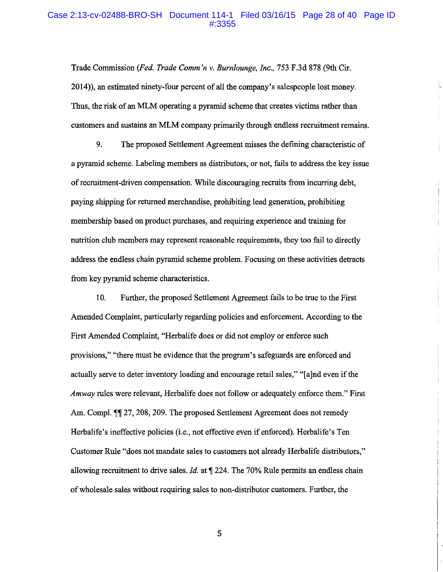#### Case 2:13-cv-02488-BRO-SH Document 114-1 Filed 03/16/15 Page 28 of 40 Page ID #:3355

Trade Commission *(Fed. Trade Comm 'n* v. *Burnlounge, Inc.,* 753 F.3d 878 (9th Cir. 2014)), an estimated ninety-four percent of all the company's salespeople lost money. Thus, the risk of an MLM operating a pyramid scheme that creates victims rather than customers and sustains an MLM company primarily through endless recruitment remains.

9. The proposed Settlement Agreement misses the defming characteristic of a pyramid scheme. Labeling members as distributors, or not, fails to address the key issue of recruitment-driven compensation. While discouraging recruits from incurring debt, paying shipping for returned merchandise, prohibiting lead generation, prohibiting membership based on product purchases, and requiring experience and training for nutrition club members may represent reasonable requirements, they too fail to directly address the endless chain pyramid scheme problem. Focusing on these activities detracts from key pyramid scheme characteristics.

10. Further, the proposed Settlement Agreement fails to be true to the First Amended Complaint, particularly regarding policies and enforcement. According to the First Amended Complaint, "Herbalife does or did not employ or enforce such provisions," "there must be evidence that the program's safeguards are enforced and actually serve to deter inventory loading and encourage retail sales," "[a]nd even if the *Amway* rules were relevant, Herbalife does not follow or adequately enforce them." First Am. Compl.  $\P$  27, 208, 209. The proposed Settlement Agreement does not remedy Herbalife's ineffective policies (i.e., not effective even if enforced). Herbalife's Ten Customer Rule "does not mandate sales to customers not already Herbalife distributors," allowing recruitment to drive sales. *Id.* at  $\sqrt{224}$ . The 70% Rule permits an endless chain of wholesale sales without requiring sales to non-distributor customers. Further, the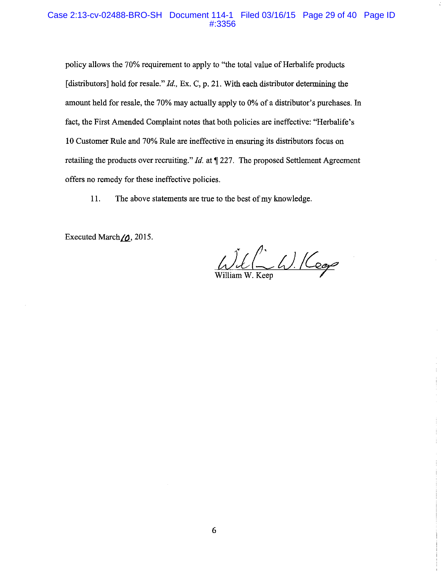#### Case 2:13-cv-02488-BRO-SH Document 114-1 Filed 03/16/15 Page 29 of 40 Page ID #:3356

policy allows the 70% requirement to apply to "the total value of Herbalife products [distributors] hold for resale." *Id.*, Ex. C, p. 21. With each distributor determining the amount held for resale, the 70% may actually apply to 0% of a distributor's purchases. In fact, the First Amended Complaint notes that both policies are ineffective: "Herbalife's I 0 Customer Rule and 70% Rule are ineffective in ensuring its distributors focus on retailing the products over recruiting." *Id.* at  $\llbracket 227$ . The proposed Settlement Agreement offers no remedy for these ineffective policies.

II. The above statements are true to the best of my knowledge.

Executed March  $\gamma$ , 2015.

 $\bigcup_{William\ W. Keep} \bigcup_{k \in \mathcal{P}} \bigcup_{\mathcal{A}} \bigcup_{\mathcal{A}} \bigcup_{\mathcal{A}} \bigcup_{\mathcal{A}} \bigcup_{\mathcal{A}} \bigcup_{\mathcal{A}} \bigcup_{\mathcal{A}} \bigcup_{\mathcal{A}} \bigcup_{\mathcal{A}} \bigcup_{\mathcal{A}} \bigcup_{\mathcal{A}} \bigcup_{\mathcal{A}} \bigcup_{\mathcal{A}} \bigcup_{\mathcal{A}} \bigcup_{\mathcal{A}} \bigcup_{\mathcal{A}} \bigcup_{\mathcal{A}} \bigcup_{\mathcal{A}} \bigcup_{\mathcal{A}} \bigcup_{\$ 

 $\ddot{\mathrm{f}}$ 

Ŧ

6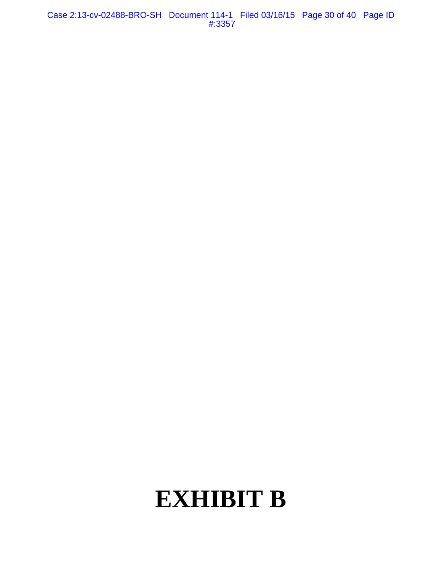Case 2:13-cv-02488-BRO-SH Document 114-1 Filed 03/16/15 Page 30 of 40 Page ID #:3357

# **EXHIBIT B**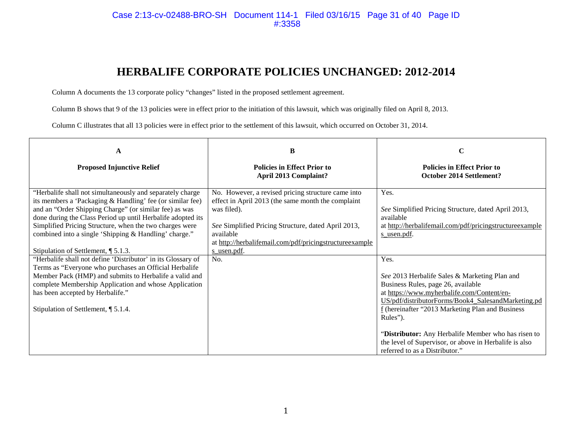#### Case 2:13-cv-02488-BRO-SH Document 114-1 Filed 03/16/15 Page 31 of 40 Page ID #:3358

# **HERBALIFE CORPORATE POLICIES UNCHANGED: 2012-2014**

Column A documents the 13 corporate policy "changes" listed in the proposed settlement agreement.

Column B shows that 9 of the 13 policies were in effect prior to the initiation of this lawsuit, which was originally filed on April 8, 2013.

Column C illustrates that all 13 policies were in effect prior to the settlement of this lawsuit, which occurred on October 31, 2014.

| A                                                                                                                                                                                                                                                                                                                                                                                                          | В                                                                                                                                                                                                                                                      | $\mathbf C$                                                                                                                                                                                                                                                                                                            |
|------------------------------------------------------------------------------------------------------------------------------------------------------------------------------------------------------------------------------------------------------------------------------------------------------------------------------------------------------------------------------------------------------------|--------------------------------------------------------------------------------------------------------------------------------------------------------------------------------------------------------------------------------------------------------|------------------------------------------------------------------------------------------------------------------------------------------------------------------------------------------------------------------------------------------------------------------------------------------------------------------------|
| <b>Proposed Injunctive Relief</b>                                                                                                                                                                                                                                                                                                                                                                          | <b>Policies in Effect Prior to</b><br><b>April 2013 Complaint?</b>                                                                                                                                                                                     | <b>Policies in Effect Prior to</b><br><b>October 2014 Settlement?</b>                                                                                                                                                                                                                                                  |
| "Herbalife shall not simultaneously and separately charge<br>its members a 'Packaging & Handling' fee (or similar fee)<br>and an "Order Shipping Charge" (or similar fee) as was<br>done during the Class Period up until Herbalife adopted its<br>Simplified Pricing Structure, when the two charges were<br>combined into a single 'Shipping & Handling' charge."<br>Stipulation of Settlement, ¶ 5.1.3. | No. However, a revised pricing structure came into<br>effect in April 2013 (the same month the complaint<br>was filed).<br>See Simplified Pricing Structure, dated April 2013,<br>available<br>at http://herbalifemail.com/pdf/pricingstructureexample | Yes.<br>See Simplified Pricing Structure, dated April 2013,<br>available<br>at http://herbalifemail.com/pdf/pricingstructureexample<br>s usen.pdf.                                                                                                                                                                     |
| "Herbalife shall not define 'Distributor' in its Glossary of<br>Terms as "Everyone who purchases an Official Herbalife<br>Member Pack (HMP) and submits to Herbalife a valid and<br>complete Membership Application and whose Application<br>has been accepted by Herbalife."<br>Stipulation of Settlement, ¶ 5.1.4.                                                                                       | <u>s usen.pdf</u> .<br>No.                                                                                                                                                                                                                             | Yes.<br>See 2013 Herbalife Sales & Marketing Plan and<br>Business Rules, page 26, available<br>at https://www.myherbalife.com/Content/en-<br>US/pdf/distributorForms/Book4_SalesandMarketing.pd<br>f (hereinafter "2013 Marketing Plan and Business<br>Rules").<br>"Distributor: Any Herbalife Member who has risen to |
|                                                                                                                                                                                                                                                                                                                                                                                                            |                                                                                                                                                                                                                                                        | the level of Supervisor, or above in Herbalife is also<br>referred to as a Distributor."                                                                                                                                                                                                                               |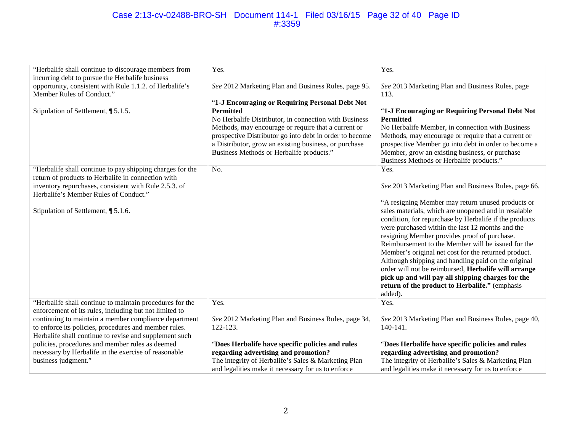#### Case 2:13-cv-02488-BRO-SH Document 114-1 Filed 03/16/15 Page 32 of 40 Page ID #:3359

| "Herbalife shall continue to discourage members from      | Yes.                                                    | Yes.                                                   |
|-----------------------------------------------------------|---------------------------------------------------------|--------------------------------------------------------|
| incurring debt to pursue the Herbalife business           |                                                         |                                                        |
| opportunity, consistent with Rule 1.1.2. of Herbalife's   | See 2012 Marketing Plan and Business Rules, page 95.    | See 2013 Marketing Plan and Business Rules, page       |
| Member Rules of Conduct."                                 |                                                         | 113.                                                   |
|                                                           | "1-J Encouraging or Requiring Personal Debt Not         |                                                        |
| Stipulation of Settlement, ¶ 5.1.5.                       | <b>Permitted</b>                                        | "1-J Encouraging or Requiring Personal Debt Not        |
|                                                           | No Herbalife Distributor, in connection with Business   | <b>Permitted</b>                                       |
|                                                           | Methods, may encourage or require that a current or     |                                                        |
|                                                           |                                                         | No Herbalife Member, in connection with Business       |
|                                                           | prospective Distributor go into debt in order to become | Methods, may encourage or require that a current or    |
|                                                           | a Distributor, grow an existing business, or purchase   | prospective Member go into debt in order to become a   |
|                                                           | Business Methods or Herbalife products."                | Member, grow an existing business, or purchase         |
|                                                           |                                                         | Business Methods or Herbalife products."               |
| "Herbalife shall continue to pay shipping charges for the | No.                                                     | Yes.                                                   |
| return of products to Herbalife in connection with        |                                                         |                                                        |
| inventory repurchases, consistent with Rule 2.5.3. of     |                                                         | See 2013 Marketing Plan and Business Rules, page 66.   |
| Herbalife's Member Rules of Conduct."                     |                                                         |                                                        |
|                                                           |                                                         | "A resigning Member may return unused products or      |
|                                                           |                                                         |                                                        |
| Stipulation of Settlement, ¶ 5.1.6.                       |                                                         | sales materials, which are unopened and in resalable   |
|                                                           |                                                         | condition, for repurchase by Herbalife if the products |
|                                                           |                                                         | were purchased within the last 12 months and the       |
|                                                           |                                                         | resigning Member provides proof of purchase.           |
|                                                           |                                                         | Reimbursement to the Member will be issued for the     |
|                                                           |                                                         | Member's original net cost for the returned product.   |
|                                                           |                                                         | Although shipping and handling paid on the original    |
|                                                           |                                                         | order will not be reimbursed, Herbalife will arrange   |
|                                                           |                                                         | pick up and will pay all shipping charges for the      |
|                                                           |                                                         | return of the product to Herbalife." (emphasis         |
|                                                           |                                                         |                                                        |
|                                                           |                                                         | added).                                                |
| "Herbalife shall continue to maintain procedures for the  | Yes.                                                    | Yes.                                                   |
| enforcement of its rules, including but not limited to    |                                                         |                                                        |
| continuing to maintain a member compliance department     | See 2012 Marketing Plan and Business Rules, page 34,    | See 2013 Marketing Plan and Business Rules, page 40,   |
| to enforce its policies, procedures and member rules.     | 122-123.                                                | 140-141.                                               |
| Herbalife shall continue to revise and supplement such    |                                                         |                                                        |
| policies, procedures and member rules as deemed           | "Does Herbalife have specific policies and rules        | "Does Herbalife have specific policies and rules       |
| necessary by Herbalife in the exercise of reasonable      | regarding advertising and promotion?                    | regarding advertising and promotion?                   |
| business judgment."                                       | The integrity of Herbalife's Sales & Marketing Plan     | The integrity of Herbalife's Sales & Marketing Plan    |
|                                                           |                                                         |                                                        |
|                                                           | and legalities make it necessary for us to enforce      | and legalities make it necessary for us to enforce     |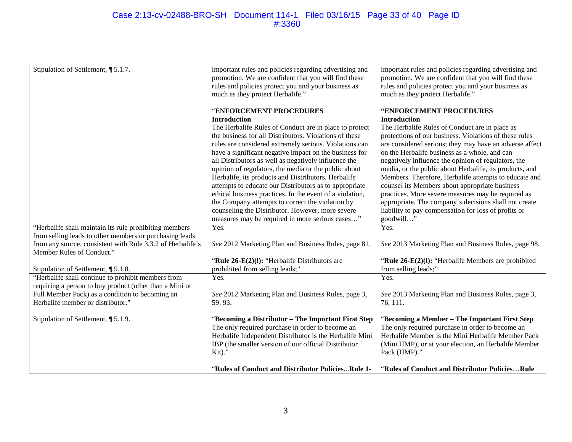#### Case 2:13-cv-02488-BRO-SH Document 114-1 Filed 03/16/15 Page 33 of 40 Page ID #:3360

| Stipulation of Settlement, ¶ 5.1.7.                        | important rules and policies regarding advertising and   | important rules and policies regarding advertising and  |
|------------------------------------------------------------|----------------------------------------------------------|---------------------------------------------------------|
|                                                            | promotion. We are confident that you will find these     | promotion. We are confident that you will find these    |
|                                                            | rules and policies protect you and your business as      | rules and policies protect you and your business as     |
|                                                            | much as they protect Herbalife."                         | much as they protect Herbalife."                        |
|                                                            |                                                          |                                                         |
|                                                            | "ENFORCEMENT PROCEDURES                                  | "ENFORCEMENT PROCEDURES                                 |
|                                                            | <b>Introduction</b>                                      | <b>Introduction</b>                                     |
|                                                            | The Herbalife Rules of Conduct are in place to protect   | The Herbalife Rules of Conduct are in place as          |
|                                                            | the business for all Distributors. Violations of these   | protections of our business. Violations of these rules  |
|                                                            | rules are considered extremely serious. Violations can   | are considered serious; they may have an adverse affect |
|                                                            | have a significant negative impact on the business for   | on the Herbalife business as a whole, and can           |
|                                                            |                                                          |                                                         |
|                                                            | all Distributors as well as negatively influence the     | negatively influence the opinion of regulators, the     |
|                                                            | opinion of regulators, the media or the public about     | media, or the public about Herbalife, its products, and |
|                                                            | Herbalife, its products and Distributors. Herbalife      | Members. Therefore, Herbalife attempts to educate and   |
|                                                            | attempts to educate our Distributors as to appropriate   | counsel its Members about appropriate business          |
|                                                            | ethical business practices. In the event of a violation, | practices. More severe measures may be required as      |
|                                                            | the Company attempts to correct the violation by         | appropriate. The company's decisions shall not create   |
|                                                            | counseling the Distributor. However, more severe         | liability to pay compensation for loss of profits or    |
|                                                            | measures may be required in more serious cases"          | goodwill"                                               |
| "Herbalife shall maintain its rule prohibiting members     | Yes.                                                     | Yes.                                                    |
| from selling leads to other members or purchasing leads    |                                                          |                                                         |
| from any source, consistent with Rule 3.3.2 of Herbalife's | See 2012 Marketing Plan and Business Rules, page 81.     | See 2013 Marketing Plan and Business Rules, page 98.    |
| Member Rules of Conduct."                                  |                                                          |                                                         |
|                                                            | "Rule 26-E(2)(I): "Herbalife Distributors are            | "Rule $26-E(2)(1)$ : "Herbalife Members are prohibited  |
| Stipulation of Settlement, ¶ 5.1.8.                        | prohibited from selling leads;"                          | from selling leads;"                                    |
| "Herbalife shall continue to prohibit members from         | Yes.                                                     | Yes.                                                    |
| requiring a person to buy product (other than a Mini or    |                                                          |                                                         |
| Full Member Pack) as a condition to becoming an            | See 2012 Marketing Plan and Business Rules, page 3,      | See 2013 Marketing Plan and Business Rules, page 3,     |
| Herbalife member or distributor."                          | 59, 93.                                                  | 76, 111.                                                |
|                                                            |                                                          |                                                         |
| Stipulation of Settlement, 15.1.9.                         | "Becoming a Distributor - The Important First Step       | "Becoming a Member - The Important First Step           |
|                                                            | The only required purchase in order to become an         | The only required purchase in order to become an        |
|                                                            | Herbalife Independent Distributor is the Herbalife Mini  | Herbalife Member is the Mini Herbalife Member Pack      |
|                                                            | IBP (the smaller version of our official Distributor     | (Mini HMP), or at your election, an Herbalife Member    |
|                                                            | Kit)."                                                   | Pack (HMP)."                                            |
|                                                            |                                                          |                                                         |
|                                                            | "Rules of Conduct and Distributor PoliciesRule 1-        | "Rules of Conduct and Distributor PoliciesRule          |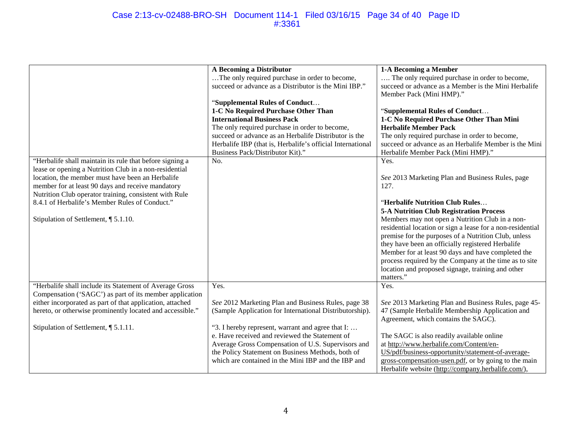#### Case 2:13-cv-02488-BRO-SH Document 114-1 Filed 03/16/15 Page 34 of 40 Page ID #:3361

| "Herbalife shall maintain its rule that before signing a<br>lease or opening a Nutrition Club in a non-residential                                                                                                                                        | A Becoming a Distributor<br>The only required purchase in order to become,<br>succeed or advance as a Distributor is the Mini IBP."<br>"Supplemental Rules of Conduct<br>1-C No Required Purchase Other Than<br><b>International Business Pack</b><br>The only required purchase in order to become,<br>succeed or advance as an Herbalife Distributor is the<br>Herbalife IBP (that is, Herbalife's official International<br>Business Pack/Distributor Kit)."<br>No. | 1-A Becoming a Member<br>The only required purchase in order to become,<br>succeed or advance as a Member is the Mini Herbalife<br>Member Pack (Mini HMP)."<br>"Supplemental Rules of Conduct<br>1-C No Required Purchase Other Than Mini<br><b>Herbalife Member Pack</b><br>The only required purchase in order to become,<br>succeed or advance as an Herbalife Member is the Mini<br>Herbalife Member Pack (Mini HMP)."<br>Yes.                                                                                                                            |
|-----------------------------------------------------------------------------------------------------------------------------------------------------------------------------------------------------------------------------------------------------------|------------------------------------------------------------------------------------------------------------------------------------------------------------------------------------------------------------------------------------------------------------------------------------------------------------------------------------------------------------------------------------------------------------------------------------------------------------------------|---------------------------------------------------------------------------------------------------------------------------------------------------------------------------------------------------------------------------------------------------------------------------------------------------------------------------------------------------------------------------------------------------------------------------------------------------------------------------------------------------------------------------------------------------------------|
| location, the member must have been an Herbalife<br>member for at least 90 days and receive mandatory<br>Nutrition Club operator training, consistent with Rule<br>8.4.1 of Herbalife's Member Rules of Conduct."<br>Stipulation of Settlement, ¶ 5.1.10. |                                                                                                                                                                                                                                                                                                                                                                                                                                                                        | See 2013 Marketing Plan and Business Rules, page<br>127.<br>"Herbalife Nutrition Club Rules<br><b>5-A Nutrition Club Registration Process</b><br>Members may not open a Nutrition Club in a non-<br>residential location or sign a lease for a non-residential<br>premise for the purposes of a Nutrition Club, unless<br>they have been an officially registered Herbalife<br>Member for at least 90 days and have completed the<br>process required by the Company at the time as to site<br>location and proposed signage, training and other<br>matters." |
| "Herbalife shall include its Statement of Average Gross<br>Compensation ('SAGC') as part of its member application<br>either incorporated as part of that application, attached                                                                           | Yes.<br>See 2012 Marketing Plan and Business Rules, page 38                                                                                                                                                                                                                                                                                                                                                                                                            | Yes.<br>See 2013 Marketing Plan and Business Rules, page 45-                                                                                                                                                                                                                                                                                                                                                                                                                                                                                                  |
| hereto, or otherwise prominently located and accessible."                                                                                                                                                                                                 | (Sample Application for International Distributorship).                                                                                                                                                                                                                                                                                                                                                                                                                | 47 (Sample Herbalife Membership Application and<br>Agreement, which contains the SAGC).                                                                                                                                                                                                                                                                                                                                                                                                                                                                       |
| Stipulation of Settlement, ¶ 5.1.11.                                                                                                                                                                                                                      | "3. I hereby represent, warrant and agree that I:<br>e. Have received and reviewed the Statement of<br>Average Gross Compensation of U.S. Supervisors and<br>the Policy Statement on Business Methods, both of<br>which are contained in the Mini IBP and the IBP and                                                                                                                                                                                                  | The SAGC is also readily available online<br>at http://www.herbalife.com/Content/en-<br>US/pdf/business-opportunity/statement-of-average-<br>gross-compensation-usen.pdf, or by going to the main<br>Herbalife website (http://company.herbalife.com/),                                                                                                                                                                                                                                                                                                       |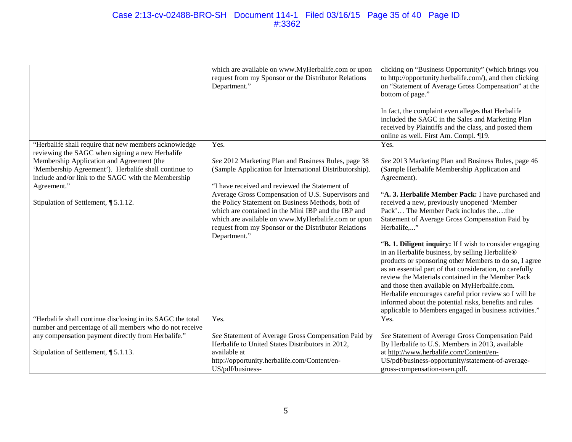#### Case 2:13-cv-02488-BRO-SH Document 114-1 Filed 03/16/15 Page 35 of 40 Page ID #:3362

|                                                                                                                                                       | which are available on www.MyHerbalife.com or upon<br>request from my Sponsor or the Distributor Relations<br>Department."                                                                                                                                                                   | clicking on "Business Opportunity" (which brings you<br>to http://opportunity.herbalife.com/), and then clicking<br>on "Statement of Average Gross Compensation" at the<br>bottom of page."<br>In fact, the complaint even alleges that Herbalife<br>included the SAGC in the Sales and Marketing Plan<br>received by Plaintiffs and the class, and posted them<br>online as well. First Am. Compl. ¶19.                                                                                                            |
|-------------------------------------------------------------------------------------------------------------------------------------------------------|----------------------------------------------------------------------------------------------------------------------------------------------------------------------------------------------------------------------------------------------------------------------------------------------|---------------------------------------------------------------------------------------------------------------------------------------------------------------------------------------------------------------------------------------------------------------------------------------------------------------------------------------------------------------------------------------------------------------------------------------------------------------------------------------------------------------------|
| "Herbalife shall require that new members acknowledge<br>reviewing the SAGC when signing a new Herbalife<br>Membership Application and Agreement (the | Yes.<br>See 2012 Marketing Plan and Business Rules, page 38                                                                                                                                                                                                                                  | Yes.<br>See 2013 Marketing Plan and Business Rules, page 46                                                                                                                                                                                                                                                                                                                                                                                                                                                         |
| 'Membership Agreement'). Herbalife shall continue to<br>include and/or link to the SAGC with the Membership<br>Agreement."                            | (Sample Application for International Distributorship).<br>"I have received and reviewed the Statement of                                                                                                                                                                                    | (Sample Herbalife Membership Application and<br>Agreement).                                                                                                                                                                                                                                                                                                                                                                                                                                                         |
| Stipulation of Settlement, ¶ 5.1.12.                                                                                                                  | Average Gross Compensation of U.S. Supervisors and<br>the Policy Statement on Business Methods, both of<br>which are contained in the Mini IBP and the IBP and<br>which are available on www.MyHerbalife.com or upon<br>request from my Sponsor or the Distributor Relations<br>Department." | "A. 3. Herbalife Member Pack: I have purchased and<br>received a new, previously unopened 'Member<br>Pack' The Member Pack includes thethe<br>Statement of Average Gross Compensation Paid by<br>Herbalife,"                                                                                                                                                                                                                                                                                                        |
|                                                                                                                                                       |                                                                                                                                                                                                                                                                                              | "B. 1. Diligent inquiry: If I wish to consider engaging<br>in an Herbalife business, by selling Herbalife®<br>products or sponsoring other Members to do so, I agree<br>as an essential part of that consideration, to carefully<br>review the Materials contained in the Member Pack<br>and those then available on MyHerbalife.com.<br>Herbalife encourages careful prior review so I will be<br>informed about the potential risks, benefits and rules<br>applicable to Members engaged in business activities." |
| "Herbalife shall continue disclosing in its SAGC the total                                                                                            | Yes.                                                                                                                                                                                                                                                                                         | Yes.                                                                                                                                                                                                                                                                                                                                                                                                                                                                                                                |
| number and percentage of all members who do not receive                                                                                               |                                                                                                                                                                                                                                                                                              |                                                                                                                                                                                                                                                                                                                                                                                                                                                                                                                     |
| any compensation payment directly from Herbalife."                                                                                                    | See Statement of Average Gross Compensation Paid by                                                                                                                                                                                                                                          | See Statement of Average Gross Compensation Paid                                                                                                                                                                                                                                                                                                                                                                                                                                                                    |
|                                                                                                                                                       | Herbalife to United States Distributors in 2012,                                                                                                                                                                                                                                             | By Herbalife to U.S. Members in 2013, available                                                                                                                                                                                                                                                                                                                                                                                                                                                                     |
| Stipulation of Settlement, ¶ 5.1.13.                                                                                                                  | available at<br>http://opportunity.herbalife.com/Content/en-                                                                                                                                                                                                                                 | at http://www.herbalife.com/Content/en-<br>US/pdf/business-opportunity/statement-of-average-                                                                                                                                                                                                                                                                                                                                                                                                                        |
|                                                                                                                                                       | US/pdf/business-                                                                                                                                                                                                                                                                             | gross-compensation-usen.pdf.                                                                                                                                                                                                                                                                                                                                                                                                                                                                                        |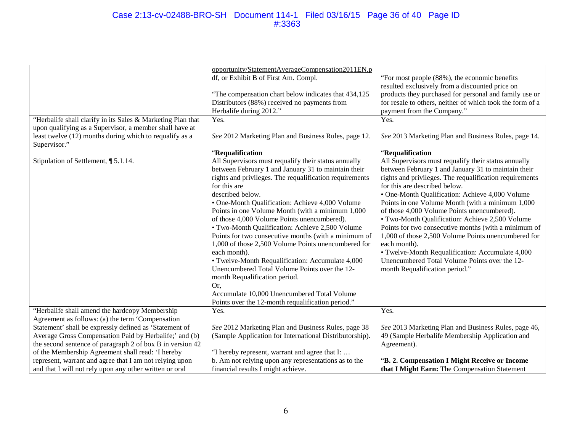#### Case 2:13-cv-02488-BRO-SH Document 114-1 Filed 03/16/15 Page 36 of 40 Page ID #:3363

|                                                             | opportunity/StatementAverageCompensation2011EN.p        |                                                           |
|-------------------------------------------------------------|---------------------------------------------------------|-----------------------------------------------------------|
|                                                             | df, or Exhibit B of First Am. Compl.                    | "For most people (88%), the economic benefits             |
|                                                             |                                                         | resulted exclusively from a discounted price on           |
|                                                             | "The compensation chart below indicates that 434,125    | products they purchased for personal and family use or    |
|                                                             | Distributors (88%) received no payments from            | for resale to others, neither of which took the form of a |
|                                                             | Herbalife during 2012."                                 | payment from the Company."                                |
| "Herbalife shall clarify in its Sales & Marketing Plan that | Yes.                                                    | Yes.                                                      |
| upon qualifying as a Supervisor, a member shall have at     |                                                         |                                                           |
| least twelve (12) months during which to requalify as a     | See 2012 Marketing Plan and Business Rules, page 12.    | See 2013 Marketing Plan and Business Rules, page 14.      |
| Supervisor."                                                |                                                         |                                                           |
|                                                             | "Requalification                                        | "Requalification                                          |
| Stipulation of Settlement, ¶ 5.1.14.                        | All Supervisors must requalify their status annually    | All Supervisors must requalify their status annually      |
|                                                             | between February 1 and January 31 to maintain their     | between February 1 and January 31 to maintain their       |
|                                                             | rights and privileges. The requalification requirements | rights and privileges. The requalification requirements   |
|                                                             | for this are                                            | for this are described below.                             |
|                                                             | described below.                                        | • One-Month Qualification: Achieve 4,000 Volume           |
|                                                             | • One-Month Qualification: Achieve 4,000 Volume         | Points in one Volume Month (with a minimum 1,000          |
|                                                             | Points in one Volume Month (with a minimum 1,000        | of those 4,000 Volume Points unencumbered).               |
|                                                             | of those 4,000 Volume Points unencumbered).             | • Two-Month Qualification: Achieve 2,500 Volume           |
|                                                             | • Two-Month Qualification: Achieve 2,500 Volume         | Points for two consecutive months (with a minimum of      |
|                                                             |                                                         |                                                           |
|                                                             | Points for two consecutive months (with a minimum of    | 1,000 of those 2,500 Volume Points unencumbered for       |
|                                                             | 1,000 of those 2,500 Volume Points unencumbered for     | each month).                                              |
|                                                             | each month).                                            | • Twelve-Month Requalification: Accumulate 4,000          |
|                                                             | • Twelve-Month Requalification: Accumulate 4,000        | Unencumbered Total Volume Points over the 12-             |
|                                                             | Unencumbered Total Volume Points over the 12-           | month Requalification period."                            |
|                                                             | month Requalification period.                           |                                                           |
|                                                             | Or,                                                     |                                                           |
|                                                             | Accumulate 10,000 Unencumbered Total Volume             |                                                           |
|                                                             | Points over the 12-month requalification period."       |                                                           |
| "Herbalife shall amend the hardcopy Membership              | Yes.                                                    | Yes.                                                      |
| Agreement as follows: (a) the term 'Compensation            |                                                         |                                                           |
| Statement' shall be expressly defined as 'Statement of      | See 2012 Marketing Plan and Business Rules, page 38     | See 2013 Marketing Plan and Business Rules, page 46,      |
| Average Gross Compensation Paid by Herbalife;' and (b)      | (Sample Application for International Distributorship). | 49 (Sample Herbalife Membership Application and           |
| the second sentence of paragraph 2 of box B in version 42   |                                                         | Agreement).                                               |
| of the Membership Agreement shall read: 'I hereby           | "I hereby represent, warrant and agree that I:          |                                                           |
| represent, warrant and agree that I am not relying upon     | b. Am not relying upon any representations as to the    | "B. 2. Compensation I Might Receive or Income             |
| and that I will not rely upon any other written or oral     | financial results I might achieve.                      | that I Might Earn: The Compensation Statement             |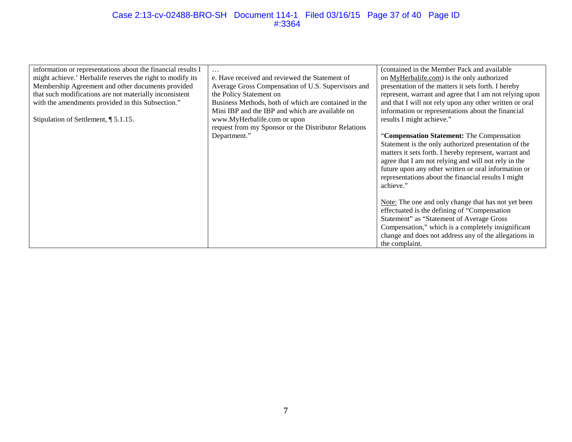#### Case 2:13-cv-02488-BRO-SH Document 114-1 Filed 03/16/15 Page 37 of 40 Page ID #:3364

| information or representations about the financial results I |                                                      | (contained in the Member Pack and available)            |
|--------------------------------------------------------------|------------------------------------------------------|---------------------------------------------------------|
| might achieve.' Herbalife reserves the right to modify its   | e. Have received and reviewed the Statement of       | on MyHerbalife.com) is the only authorized              |
| Membership Agreement and other documents provided            | Average Gross Compensation of U.S. Supervisors and   | presentation of the matters it sets forth. I hereby     |
| that such modifications are not materially inconsistent      | the Policy Statement on                              | represent, warrant and agree that I am not relying upon |
| with the amendments provided in this Subsection."            | Business Methods, both of which are contained in the | and that I will not rely upon any other written or oral |
|                                                              | Mini IBP and the IBP and which are available on      | information or representations about the financial      |
| Stipulation of Settlement, $\P$ 5.1.15.                      | www.MyHerbalife.com or upon                          | results I might achieve."                               |
|                                                              | request from my Sponsor or the Distributor Relations |                                                         |
|                                                              | Department."                                         | "Compensation Statement: The Compensation               |
|                                                              |                                                      | Statement is the only authorized presentation of the    |
|                                                              |                                                      | matters it sets forth. I hereby represent, warrant and  |
|                                                              |                                                      | agree that I am not relying and will not rely in the    |
|                                                              |                                                      | future upon any other written or oral information or    |
|                                                              |                                                      | representations about the financial results I might     |
|                                                              |                                                      | achieve."                                               |
|                                                              |                                                      |                                                         |
|                                                              |                                                      | Note: The one and only change that has not yet been     |
|                                                              |                                                      | effectuated is the defining of "Compensation"           |
|                                                              |                                                      | Statement" as "Statement of Average Gross               |
|                                                              |                                                      | Compensation," which is a completely insignificant      |
|                                                              |                                                      | change and does not address any of the allegations in   |
|                                                              |                                                      | the complaint.                                          |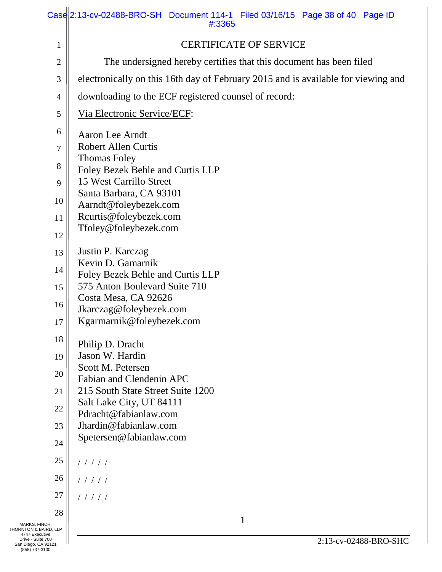|                                                            | Case 2:13-cv-02488-BRO-SH Document 114-1 Filed 03/16/15 Page 38 of 40 Page ID<br>#:3365 |
|------------------------------------------------------------|-----------------------------------------------------------------------------------------|
| 1                                                          | <b>CERTIFICATE OF SERVICE</b>                                                           |
| $\overline{c}$                                             | The undersigned hereby certifies that this document has been filed                      |
| 3                                                          | electronically on this 16th day of February 2015 and is available for viewing and       |
| 4                                                          | downloading to the ECF registered counsel of record:                                    |
| 5                                                          | Via Electronic Service/ECF:                                                             |
| 6                                                          | Aaron Lee Arndt                                                                         |
| 7                                                          | <b>Robert Allen Curtis</b>                                                              |
| 8                                                          | <b>Thomas Foley</b><br>Foley Bezek Behle and Curtis LLP                                 |
| 9                                                          | 15 West Carrillo Street                                                                 |
| 10                                                         | Santa Barbara, CA 93101                                                                 |
| 11                                                         | Aarndt@foleybezek.com<br>Rcurtis@foleybezek.com                                         |
| 12                                                         | Tfoley@foleybezek.com                                                                   |
| 13                                                         | Justin P. Karczag                                                                       |
| 14                                                         | Kevin D. Gamarnik                                                                       |
| 15                                                         | Foley Bezek Behle and Curtis LLP<br>575 Anton Boulevard Suite 710                       |
|                                                            | Costa Mesa, CA 92626                                                                    |
| 16                                                         | Jkarczag@foleybezek.com                                                                 |
| 17                                                         | Kgarmarnik@foleybezek.com                                                               |
| 18                                                         | Philip D. Dracht                                                                        |
| 19                                                         | Jason W. Hardin<br>Scott M. Petersen                                                    |
| 20                                                         | Fabian and Clendenin APC                                                                |
| 21                                                         | 215 South State Street Suite 1200                                                       |
| 22                                                         | Salt Lake City, UT 84111<br>Pdracht@fabianlaw.com                                       |
| 23                                                         | Jhardin@fabianlaw.com                                                                   |
| 24                                                         | Spetersen@fabianlaw.com                                                                 |
| 25                                                         | 11111                                                                                   |
| 26                                                         | 11111                                                                                   |
| 27                                                         | 11111                                                                                   |
| 28                                                         | 1                                                                                       |
| MARKS, FINCH,<br>THORNTON & BAIRD, LLP<br>4747 Executive   |                                                                                         |
| Drive - Suite 700<br>San Diego, CA 92121<br>(858) 737-3100 | 2:13-cv-02488-BRO-SHC                                                                   |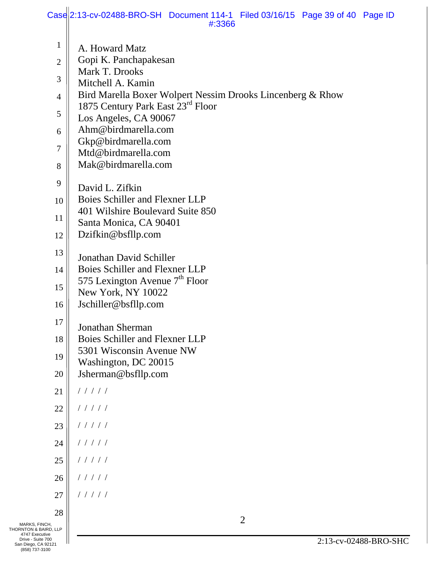|                                                              | Case 2:13-cv-02488-BRO-SH Document 114-1 Filed 03/16/15 Page 39 of 40 Page ID<br>#:3366         |
|--------------------------------------------------------------|-------------------------------------------------------------------------------------------------|
| $\mathbf 1$                                                  | A. Howard Matz                                                                                  |
| $\overline{2}$                                               | Gopi K. Panchapakesan                                                                           |
|                                                              | Mark T. Drooks                                                                                  |
| 3                                                            | Mitchell A. Kamin                                                                               |
| $\overline{4}$                                               | Bird Marella Boxer Wolpert Nessim Drooks Lincenberg & Rhow<br>1875 Century Park East 23rd Floor |
| 5                                                            | Los Angeles, CA 90067                                                                           |
| 6                                                            | Ahm@birdmarella.com                                                                             |
| 7                                                            | Gkp@birdmarella.com                                                                             |
| 8                                                            | Mtd@birdmarella.com<br>Mak@birdmarella.com                                                      |
|                                                              |                                                                                                 |
| 9                                                            | David L. Zifkin                                                                                 |
| 10                                                           | Boies Schiller and Flexner LLP<br>401 Wilshire Boulevard Suite 850                              |
| 11                                                           | Santa Monica, CA 90401                                                                          |
| 12                                                           | Dzifkin@bsfllp.com                                                                              |
| 13                                                           | Jonathan David Schiller                                                                         |
| 14                                                           | Boies Schiller and Flexner LLP                                                                  |
| 15                                                           | 575 Lexington Avenue $7th$ Floor                                                                |
|                                                              | New York, NY 10022                                                                              |
| 16                                                           | Jschiller@bsfllp.com                                                                            |
| 17                                                           | <b>Jonathan Sherman</b>                                                                         |
| 18                                                           | Boies Schiller and Flexner LLP                                                                  |
| 19                                                           | 5301 Wisconsin Avenue NW                                                                        |
| 20                                                           | Washington, DC 20015<br>Jsherman@bsfllp.com                                                     |
| 21                                                           | 11111                                                                                           |
| 22                                                           | 11111                                                                                           |
| 23                                                           | 11111                                                                                           |
| 24                                                           | 11111                                                                                           |
| 25                                                           | 11111                                                                                           |
| 26                                                           | 11111                                                                                           |
| 27                                                           | 11111                                                                                           |
| 28                                                           |                                                                                                 |
| MARKS, FINCH,                                                | $\overline{2}$                                                                                  |
| THORNTON & BAIRD, LLP<br>4747 Executive<br>Drive - Suite 700 | 2:13-cv-02488-BRO-SHC                                                                           |
| San Diego, CA 92121<br>(858) 737-3100                        |                                                                                                 |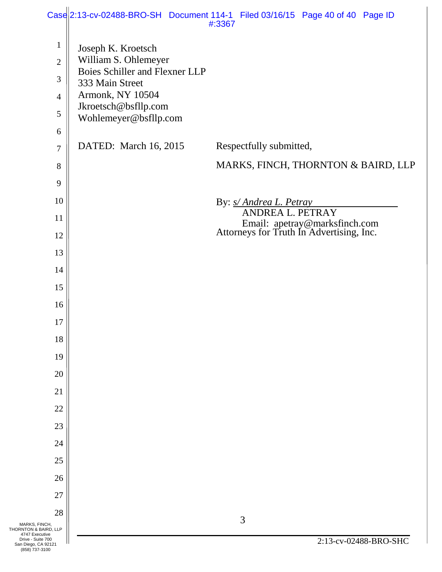|                                                            |                                                          | $\text{Casel}$ 2:13-cv-02488-BRO-SH Document 114-1 Filed 03/16/15 Page 40 of 40 Page ID<br>#:3367 |
|------------------------------------------------------------|----------------------------------------------------------|---------------------------------------------------------------------------------------------------|
| $\mathbf{1}$                                               | Joseph K. Kroetsch                                       |                                                                                                   |
| $\overline{2}$                                             | William S. Ohlemeyer                                     |                                                                                                   |
| 3                                                          | <b>Boies Schiller and Flexner LLP</b><br>333 Main Street |                                                                                                   |
| $\overline{4}$                                             | Armonk, NY 10504                                         |                                                                                                   |
| 5                                                          | Jkroetsch@bsfllp.com                                     |                                                                                                   |
| 6                                                          | Wohlemeyer@bsfllp.com                                    |                                                                                                   |
| $\overline{7}$                                             | DATED: March 16, 2015                                    | Respectfully submitted,                                                                           |
| $8\,$                                                      |                                                          | MARKS, FINCH, THORNTON & BAIRD, LLP                                                               |
| 9                                                          |                                                          |                                                                                                   |
| 10                                                         |                                                          | By: <i>s/ Andrea L. Petray</i>                                                                    |
| 11                                                         |                                                          | ANDREA L. PETRAY                                                                                  |
| 12                                                         |                                                          | Email: apetray@marksfinch.com<br>Attorneys for Truth In Advertising, Inc.                         |
| 13                                                         |                                                          |                                                                                                   |
| 14                                                         |                                                          |                                                                                                   |
| 15                                                         |                                                          |                                                                                                   |
| 16                                                         |                                                          |                                                                                                   |
| 17                                                         |                                                          |                                                                                                   |
| 18                                                         |                                                          |                                                                                                   |
| 19                                                         |                                                          |                                                                                                   |
| 20                                                         |                                                          |                                                                                                   |
| 21                                                         |                                                          |                                                                                                   |
| 22                                                         |                                                          |                                                                                                   |
| 23                                                         |                                                          |                                                                                                   |
| 24                                                         |                                                          |                                                                                                   |
| 25                                                         |                                                          |                                                                                                   |
| 26                                                         |                                                          |                                                                                                   |
| 27                                                         |                                                          |                                                                                                   |
| 28                                                         |                                                          |                                                                                                   |
| MARKS, FINCH,<br>THORNTON & BAIRD, LLP<br>4747 Executive   |                                                          | 3                                                                                                 |
| Drive - Suite 700<br>San Diego, CA 92121<br>(858) 737-3100 |                                                          | 2:13-cv-02488-BRO-SHC                                                                             |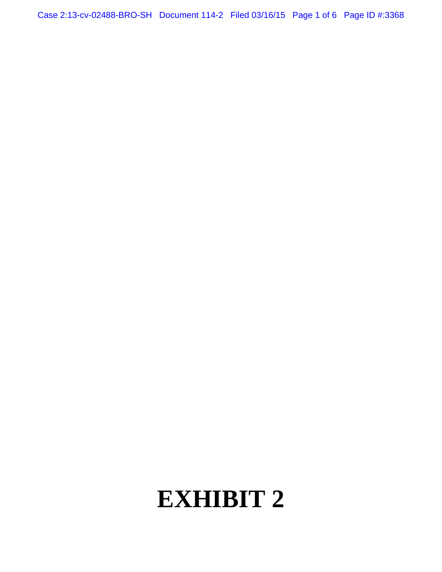Case 2:13-cv-02488-BRO-SH Document 114-2 Filed 03/16/15 Page 1 of 6 Page ID #:3368

# **EXHIBIT 2**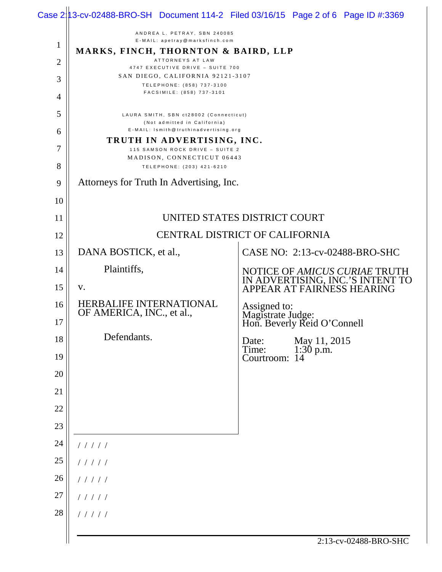|                |                                                                        | Case $2 13$ -cv-02488-BRO-SH Document 114-2 Filed 03/16/15 Page 2 of 6 Page ID #:3369           |
|----------------|------------------------------------------------------------------------|-------------------------------------------------------------------------------------------------|
|                | ANDREA L. PETRAY, SBN 240085<br>E-MAIL: apetray@marksfinch.com         |                                                                                                 |
| $\mathbf{1}$   | MARKS, FINCH, THORNTON & BAIRD, LLP                                    |                                                                                                 |
| $\overline{2}$ | ATTORNEYS AT LAW<br>4747 EXECUTIVE DRIVE - SUITE 700                   |                                                                                                 |
| 3              | SAN DIEGO, CALIFORNIA 92121-3107<br>TELEPHONE: (858) 737-3100          |                                                                                                 |
| 4              | FACSIMILE: (858) 737-3101                                              |                                                                                                 |
| 5              | LAURA SMITH, SBN ct28002 (Connecticut)<br>(Not admitted in California) |                                                                                                 |
| 6              | E-MAIL: Ismith@truthinadvertising.org                                  |                                                                                                 |
| 7              | TRUTH IN ADVERTISING, INC.<br>115 SAMSON ROCK DRIVE - SUITE 2          |                                                                                                 |
| 8              | MADISON, CONNECTICUT 06443                                             |                                                                                                 |
| 9              | TELEPHONE: (203) 421-6210<br>Attorneys for Truth In Advertising, Inc.  |                                                                                                 |
| 10             |                                                                        |                                                                                                 |
| 11             |                                                                        | UNITED STATES DISTRICT COURT                                                                    |
| 12             |                                                                        | <b>CENTRAL DISTRICT OF CALIFORNIA</b>                                                           |
| 13             | DANA BOSTICK, et al.,                                                  | CASE NO: 2:13-cv-02488-BRO-SHC                                                                  |
| 14             | Plaintiffs,                                                            |                                                                                                 |
| 15             | V.                                                                     | NOTICE OF AMICUS CURIAE TRUTH<br>IN ADVERTISING, INC.'S INTENT TO<br>APPEAR AT FAIRNESS HEARING |
| 16             | HERBALIFE INTERNATIONAL<br>OF AMERICA, INC., et al.,                   |                                                                                                 |
| 17             |                                                                        | Assigned to:<br>Magistrate Judge:<br>Hon. Beverly Reid O'Connell                                |
| 18             | Defendants.                                                            | May 11, 2015<br>Date:<br>Time:                                                                  |
| 19             |                                                                        | 1:30 p.m.<br>Courtroom: 14                                                                      |
| 20             |                                                                        |                                                                                                 |
| 21             |                                                                        |                                                                                                 |
| 22             |                                                                        |                                                                                                 |
| 23             |                                                                        |                                                                                                 |
| 24             | 11111                                                                  |                                                                                                 |
| 25             | 11111                                                                  |                                                                                                 |
| 26             | 11111                                                                  |                                                                                                 |
| 27             | 11111                                                                  |                                                                                                 |
| 28             | 11111                                                                  |                                                                                                 |
|                |                                                                        | 2:13-cv-02488-BRO-SHC                                                                           |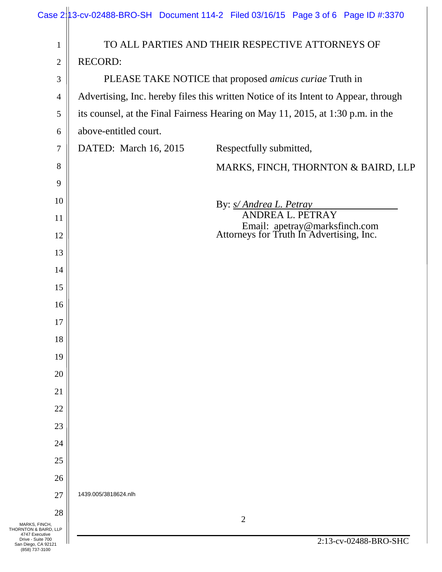|                                                                                                       |                       | Case 2 13-cv-02488-BRO-SH Document 114-2 Filed 03/16/15 Page 3 of 6 Page ID #:3370  |
|-------------------------------------------------------------------------------------------------------|-----------------------|-------------------------------------------------------------------------------------|
| 1                                                                                                     |                       | TO ALL PARTIES AND THEIR RESPECTIVE ATTORNEYS OF                                    |
| $\overline{2}$                                                                                        | <b>RECORD:</b>        |                                                                                     |
| 3                                                                                                     |                       | PLEASE TAKE NOTICE that proposed <i>amicus curiae</i> Truth in                      |
| 4                                                                                                     |                       | Advertising, Inc. hereby files this written Notice of its Intent to Appear, through |
| 5                                                                                                     |                       | its counsel, at the Final Fairness Hearing on May 11, 2015, at 1:30 p.m. in the     |
| 6                                                                                                     | above-entitled court. |                                                                                     |
| 7                                                                                                     | DATED: March 16, 2015 | Respectfully submitted,                                                             |
| 8                                                                                                     |                       | MARKS, FINCH, THORNTON & BAIRD, LLP                                                 |
| 9                                                                                                     |                       |                                                                                     |
| 10                                                                                                    |                       | By: s/ Andrea L. Petray                                                             |
| 11                                                                                                    |                       | ANDREA L. PETRAY                                                                    |
| 12                                                                                                    |                       | Email: apetray@marksfinch.com<br>Attorneys for Truth In Advertising, Inc.           |
| 13                                                                                                    |                       |                                                                                     |
| 14                                                                                                    |                       |                                                                                     |
| 15                                                                                                    |                       |                                                                                     |
| 16                                                                                                    |                       |                                                                                     |
| 17                                                                                                    |                       |                                                                                     |
| 18                                                                                                    |                       |                                                                                     |
| 19                                                                                                    |                       |                                                                                     |
| 20                                                                                                    |                       |                                                                                     |
| 21                                                                                                    |                       |                                                                                     |
| 22                                                                                                    |                       |                                                                                     |
| 23                                                                                                    |                       |                                                                                     |
| 24                                                                                                    |                       |                                                                                     |
| 25                                                                                                    |                       |                                                                                     |
| 26                                                                                                    |                       |                                                                                     |
| 27                                                                                                    | 1439.005/3818624.nlh  |                                                                                     |
| 28<br>MARKS, FINCH,                                                                                   |                       | $\overline{2}$                                                                      |
| THORNTON & BAIRD, LLP<br>4747 Executive<br>Drive - Suite 700<br>San Diego, CA 92121<br>(858) 737-3100 |                       | 2:13-cv-02488-BRO-SHC                                                               |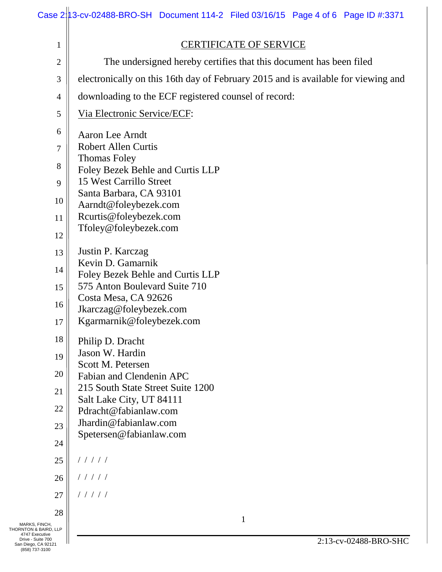|                                      | Case 2 13-cv-02488-BRO-SH Document 114-2 Filed 03/16/15 Page 4 of 6 Page ID #:3371 |
|--------------------------------------|------------------------------------------------------------------------------------|
| $\mathbf{1}$                         | <b>CERTIFICATE OF SERVICE</b>                                                      |
| $\mathbf{2}$                         | The undersigned hereby certifies that this document has been filed                 |
| 3                                    | electronically on this 16th day of February 2015 and is available for viewing and  |
| 4                                    | downloading to the ECF registered counsel of record:                               |
| 5                                    | Via Electronic Service/ECF:                                                        |
| 6                                    | Aaron Lee Arndt                                                                    |
| $\tau$                               | <b>Robert Allen Curtis</b>                                                         |
| 8                                    | <b>Thomas Foley</b><br>Foley Bezek Behle and Curtis LLP                            |
| 9                                    | 15 West Carrillo Street                                                            |
| 10                                   | Santa Barbara, CA 93101                                                            |
| 11                                   | Aarndt@foleybezek.com<br>Rcurtis@foleybezek.com                                    |
| 12                                   | Tfoley@foleybezek.com                                                              |
| 13                                   | Justin P. Karczag                                                                  |
| 14                                   | Kevin D. Gamarnik                                                                  |
| 15                                   | Foley Bezek Behle and Curtis LLP<br>575 Anton Boulevard Suite 710                  |
| 16                                   | Costa Mesa, CA 92626                                                               |
| 17                                   | Jkarczag@foleybezek.com<br>Kgarmarnik@foleybezek.com                               |
| 18                                   | Philip D. Dracht                                                                   |
| 19                                   | Jason W. Hardin                                                                    |
| 20                                   | Scott M. Petersen<br>Fabian and Clendenin APC                                      |
| 21                                   | 215 South State Street Suite 1200                                                  |
| 22                                   | Salt Lake City, UT 84111<br>Pdracht@fabianlaw.com                                  |
| 23                                   | Jhardin@fabianlaw.com                                                              |
| 24                                   | Spetersen@fabianlaw.com                                                            |
| 25                                   | 11111                                                                              |
| 26                                   | 11111                                                                              |
| 27                                   | 11111                                                                              |
| 28                                   |                                                                                    |
| , FINCH,<br>& BAIRD, LLP<br>xecutive | $\mathbf{1}$                                                                       |
|                                      |                                                                                    |

MARKS, FINCH,<br>
THORNTON & BAIRD, LLP<br>
4747 Executive<br>
Drive - Suite 700<br>
San Diego, CA 92121<br>
(858) 737-3100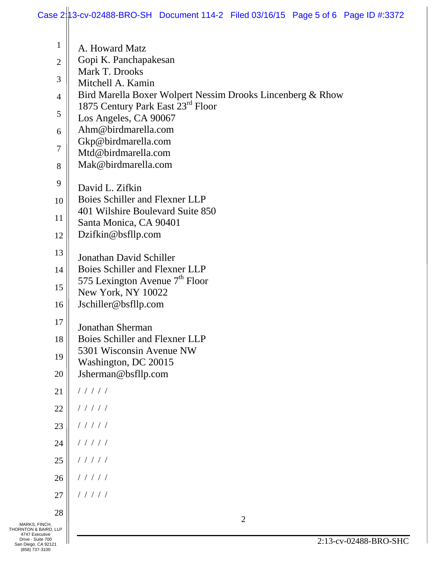|                                                            | Case 2 13-cv-02488-BRO-SH Document 114-2 Filed 03/16/15 Page 5 of 6 Page ID #:3372              |
|------------------------------------------------------------|-------------------------------------------------------------------------------------------------|
| $\mathbf 1$                                                | A. Howard Matz                                                                                  |
| $\overline{2}$                                             | Gopi K. Panchapakesan                                                                           |
|                                                            | Mark T. Drooks                                                                                  |
| 3                                                          | Mitchell A. Kamin                                                                               |
| $\overline{4}$                                             | Bird Marella Boxer Wolpert Nessim Drooks Lincenberg & Rhow<br>1875 Century Park East 23rd Floor |
| 5                                                          | Los Angeles, CA 90067                                                                           |
| 6                                                          | Ahm@birdmarella.com                                                                             |
| 7                                                          | Gkp@birdmarella.com<br>Mtd@birdmarella.com                                                      |
| 8                                                          | Mak@birdmarella.com                                                                             |
| 9                                                          | David L. Zifkin                                                                                 |
| 10                                                         | Boies Schiller and Flexner LLP                                                                  |
| 11                                                         | 401 Wilshire Boulevard Suite 850<br>Santa Monica, CA 90401                                      |
| 12                                                         | Dzifkin@bsfllp.com                                                                              |
| 13                                                         | Jonathan David Schiller                                                                         |
| 14                                                         | Boies Schiller and Flexner LLP                                                                  |
| 15                                                         | 575 Lexington Avenue 7 <sup>th</sup> Floor                                                      |
|                                                            | New York, NY 10022                                                                              |
| 16                                                         | Jschiller@bsfllp.com                                                                            |
| 17                                                         | <b>Jonathan Sherman</b>                                                                         |
| 18                                                         | Boies Schiller and Flexner LLP                                                                  |
| 19                                                         | 5301 Wisconsin Avenue NW<br>Washington, DC 20015                                                |
| 20                                                         | Jsherman@bsfllp.com                                                                             |
| 21                                                         | 11111                                                                                           |
| 22                                                         | 11111                                                                                           |
| 23                                                         | 11111                                                                                           |
| 24                                                         | 11111                                                                                           |
| 25                                                         | 11111                                                                                           |
| 26                                                         | 11111                                                                                           |
| 27                                                         | 11111                                                                                           |
| 28                                                         | $\overline{2}$                                                                                  |
| MARKS, FINCH,<br>THORNTON & BAIRD, LLP<br>4747 Executive   |                                                                                                 |
| Drive - Suite 700<br>San Diego, CA 92121<br>(858) 737-3100 | 2:13-cv-02488-BRO-SHC                                                                           |